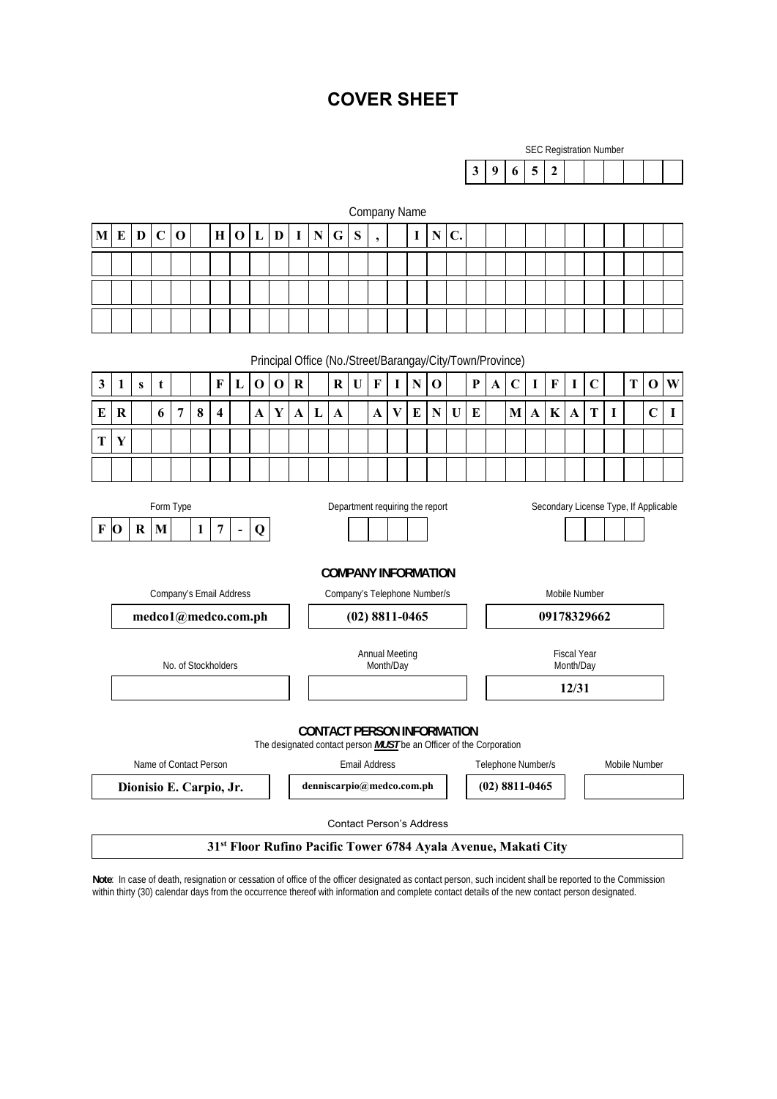# **COVER SHEET**

| <b>SEC Registration Number</b> |             |  |     |  |  |  |  |  |  |  |  |
|--------------------------------|-------------|--|-----|--|--|--|--|--|--|--|--|
|                                | $\mathbf Q$ |  | 615 |  |  |  |  |  |  |  |  |

|              | Company Name                                                                                                                                                                                                                                                                                      |   |             |                         |          |             |             |   |                                                                            |              |                                   |              |                                                            |                                    |              |             |             |                |          |   |                    |               |                                 |             |   |               |             |             |
|--------------|---------------------------------------------------------------------------------------------------------------------------------------------------------------------------------------------------------------------------------------------------------------------------------------------------|---|-------------|-------------------------|----------|-------------|-------------|---|----------------------------------------------------------------------------|--------------|-----------------------------------|--------------|------------------------------------------------------------|------------------------------------|--------------|-------------|-------------|----------------|----------|---|--------------------|---------------|---------------------------------|-------------|---|---------------|-------------|-------------|
| M            | E                                                                                                                                                                                                                                                                                                 | D | $\mathbf C$ | $\mathbf 0$             |          | $\mathbf H$ | $\mathbf 0$ | L | $\mathbf{D}$                                                               | 1            | ${\bf N}$                         | G            | S                                                          | $\overline{\phantom{a}}$           |              | $\mathbf I$ | $\mathbf N$ | $\mathbf{C}$ . |          |   |                    |               |                                 |             |   |               |             |             |
|              |                                                                                                                                                                                                                                                                                                   |   |             |                         |          |             |             |   |                                                                            |              |                                   |              |                                                            |                                    |              |             |             |                |          |   |                    |               |                                 |             |   |               |             |             |
|              |                                                                                                                                                                                                                                                                                                   |   |             |                         |          |             |             |   |                                                                            |              |                                   |              |                                                            |                                    |              |             |             |                |          |   |                    |               |                                 |             |   |               |             |             |
|              |                                                                                                                                                                                                                                                                                                   |   |             |                         |          |             |             |   |                                                                            |              |                                   |              |                                                            |                                    |              |             |             |                |          |   |                    |               |                                 |             |   |               |             |             |
|              | Principal Office (No./Street/Barangay/City/Town/Province)                                                                                                                                                                                                                                         |   |             |                         |          |             |             |   |                                                                            |              |                                   |              |                                                            |                                    |              |             |             |                |          |   |                    |               |                                 |             |   |               |             |             |
| $\mathbf{3}$ | $\mathbf C$<br>$\mathbf 0$<br>$\mathbf 0$<br>${\bf R}$<br>$\mathbf R$<br>$\mathbf U$<br>$\mathbf F$<br>$\mathbf I$<br>${\bf N}$<br>$\mathbf 0$<br>${\bf P}$<br>$\boldsymbol{\rm{A}}$<br>$\mathbf C$<br>T<br>$\mathbf 0$<br>W<br>1<br>F<br>$\mathbf{L}$<br>I<br>$\mathbf F$<br>Ι<br>t<br>${\bf S}$ |   |             |                         |          |             |             |   |                                                                            |              |                                   |              |                                                            |                                    |              |             |             |                |          |   |                    |               |                                 |             |   |               |             |             |
| ${\bf E}$    | $\bf R$                                                                                                                                                                                                                                                                                           |   | 6           | 7                       | $\bf{8}$ | 4           |             | A | Y                                                                          | $\mathbf{A}$ | L                                 | $\mathbf{A}$ |                                                            | A                                  | $\mathbf{V}$ | ${\bf E}$   | $\mathbf N$ | $\mathbf U$    | $\bf{E}$ | M | A                  | $\mathbf K$   | $\mathbf{A}$                    | T           | I |               | $\mathbf C$ | $\mathbf I$ |
| T            | Y                                                                                                                                                                                                                                                                                                 |   |             |                         |          |             |             |   |                                                                            |              |                                   |              |                                                            |                                    |              |             |             |                |          |   |                    |               |                                 |             |   |               |             |             |
|              |                                                                                                                                                                                                                                                                                                   |   |             |                         |          |             |             |   |                                                                            |              |                                   |              |                                                            |                                    |              |             |             |                |          |   |                    |               |                                 |             |   |               |             |             |
|              | Form Type<br>Department requiring the report<br>Secondary License Type, If Applicable                                                                                                                                                                                                             |   |             |                         |          |             |             |   |                                                                            |              |                                   |              |                                                            |                                    |              |             |             |                |          |   |                    |               |                                 |             |   |               |             |             |
| $\mathbf F$  | $\overline{\mathbf{7}}$<br>$\mathbf{o}$<br>M<br>$\mathbf{1}$<br>Q<br>R<br>$\blacksquare$                                                                                                                                                                                                          |   |             |                         |          |             |             |   |                                                                            |              |                                   |              |                                                            |                                    |              |             |             |                |          |   |                    |               |                                 |             |   |               |             |             |
|              |                                                                                                                                                                                                                                                                                                   |   |             |                         |          |             |             |   |                                                                            |              |                                   |              |                                                            |                                    |              |             |             |                |          |   |                    |               |                                 |             |   |               |             |             |
|              |                                                                                                                                                                                                                                                                                                   |   |             | Company's Email Address |          |             |             |   |                                                                            |              |                                   |              | <b>COMPANY INFORMATION</b><br>Company's Telephone Number/s |                                    |              |             |             |                |          |   |                    | Mobile Number |                                 |             |   |               |             |             |
|              |                                                                                                                                                                                                                                                                                                   |   |             | medco1@medco.com.ph     |          |             |             |   |                                                                            |              |                                   |              | $(02)$ 8811-0465                                           |                                    |              |             |             |                |          |   |                    |               |                                 | 09178329662 |   |               |             |             |
|              |                                                                                                                                                                                                                                                                                                   |   |             |                         |          |             |             |   |                                                                            |              |                                   |              |                                                            |                                    |              |             |             |                |          |   |                    |               |                                 |             |   |               |             |             |
|              |                                                                                                                                                                                                                                                                                                   |   |             | No. of Stockholders     |          |             |             |   |                                                                            |              |                                   |              |                                                            | <b>Annual Meeting</b><br>Month/Day |              |             |             |                |          |   |                    |               | <b>Fiscal Year</b><br>Month/Day |             |   |               |             |             |
|              |                                                                                                                                                                                                                                                                                                   |   |             |                         |          |             |             |   |                                                                            |              |                                   |              |                                                            |                                    |              |             |             |                |          |   |                    |               | 12/31                           |             |   |               |             |             |
|              |                                                                                                                                                                                                                                                                                                   |   |             |                         |          |             |             |   |                                                                            |              |                                   |              |                                                            |                                    |              |             |             |                |          |   |                    |               |                                 |             |   |               |             |             |
|              |                                                                                                                                                                                                                                                                                                   |   |             |                         |          |             |             |   | The designated contact person <b>MUST</b> be an Officer of the Corporation |              | <b>CONTACT PERSON INFORMATION</b> |              |                                                            |                                    |              |             |             |                |          |   |                    |               |                                 |             |   |               |             |             |
|              |                                                                                                                                                                                                                                                                                                   |   |             | Name of Contact Person  |          |             |             |   |                                                                            |              |                                   |              | <b>Email Address</b>                                       |                                    |              |             |             |                |          |   | Telephone Number/s |               |                                 |             |   | Mobile Number |             |             |
|              | denniscarpio@medco.com.ph<br>$(02)$ 8811-0465<br>Dionisio E. Carpio, Jr.                                                                                                                                                                                                                          |   |             |                         |          |             |             |   |                                                                            |              |                                   |              |                                                            |                                    |              |             |             |                |          |   |                    |               |                                 |             |   |               |             |             |
|              | <b>Contact Person's Address</b>                                                                                                                                                                                                                                                                   |   |             |                         |          |             |             |   |                                                                            |              |                                   |              |                                                            |                                    |              |             |             |                |          |   |                    |               |                                 |             |   |               |             |             |
|              | 31st Floor Rufino Pacific Tower 6784 Ayala Avenue, Makati City                                                                                                                                                                                                                                    |   |             |                         |          |             |             |   |                                                                            |              |                                   |              |                                                            |                                    |              |             |             |                |          |   |                    |               |                                 |             |   |               |             |             |

**Note**: In case of death, resignation or cessation of office of the officer designated as contact person, such incident shall be reported to the Commission within thirty (30) calendar days from the occurrence thereof with information and complete contact details of the new contact person designated.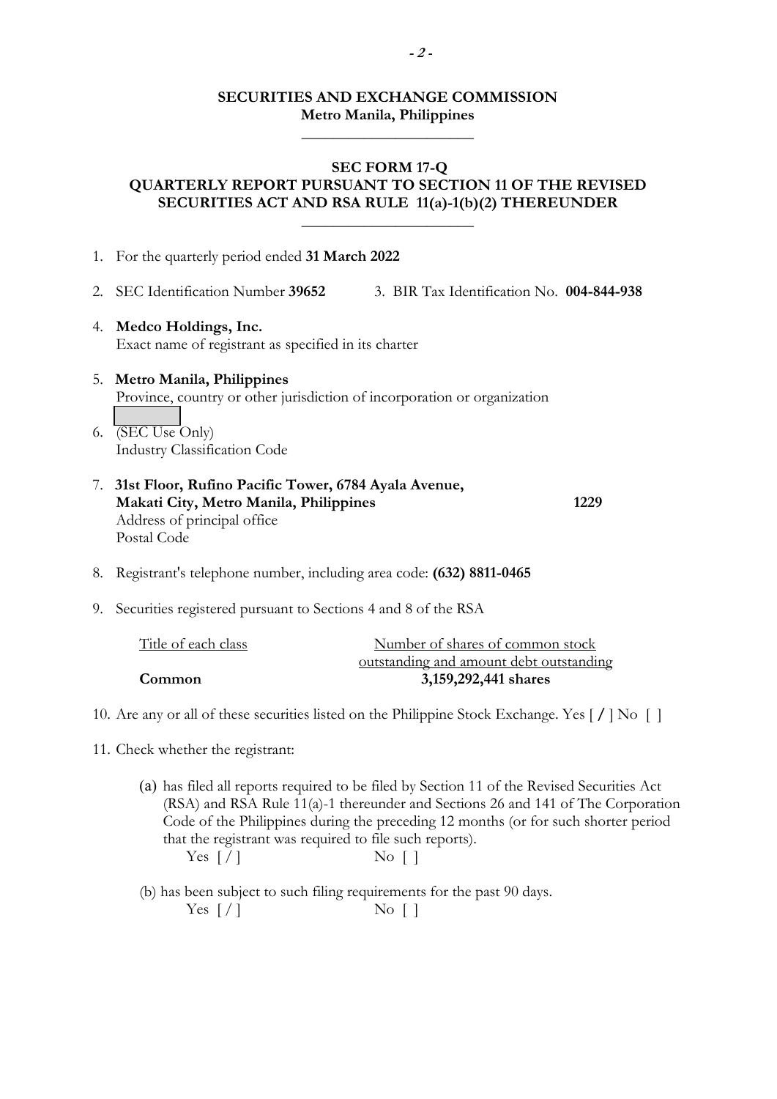## **SECURITIES AND EXCHANGE COMMISSION Metro Manila, Philippines**

**\_\_\_\_\_\_\_\_\_\_\_\_\_\_\_\_\_\_\_\_\_\_** 

## **SEC FORM 17-Q QUARTERLY REPORT PURSUANT TO SECTION 11 OF THE REVISED SECURITIES ACT AND RSA RULE 11(a)-1(b)(2) THEREUNDER**

 $\overline{\phantom{a}}$  , where  $\overline{\phantom{a}}$  , where  $\overline{\phantom{a}}$  , where  $\overline{\phantom{a}}$ 

| 1. | For the quarterly period ended 31 March 2022                                                                                                    |      |
|----|-------------------------------------------------------------------------------------------------------------------------------------------------|------|
| 2. | SEC Identification Number 39652<br>3. BIR Tax Identification No. 004-844-938                                                                    |      |
|    | 4. Medco Holdings, Inc.<br>Exact name of registrant as specified in its charter                                                                 |      |
|    | 5. Metro Manila, Philippines<br>Province, country or other jurisdiction of incorporation or organization                                        |      |
| 6. | (SEC Use Only)<br><b>Industry Classification Code</b>                                                                                           |      |
|    | 7. 31st Floor, Rufino Pacific Tower, 6784 Ayala Avenue,<br>Makati City, Metro Manila, Philippines<br>Address of principal office<br>Postal Code | 1229 |
| 8. | Registrant's telephone number, including area code: (632) 8811-0465                                                                             |      |

9. Securities registered pursuant to Sections 4 and 8 of the RSA

| Title of each class | Number of shares of common stock        |
|---------------------|-----------------------------------------|
|                     | outstanding and amount debt outstanding |
| Common              | 3,159,292,441 shares                    |

10. Are any or all of these securities listed on the Philippine Stock Exchange. Yes [ **/** ] No [ ]

- 11. Check whether the registrant:
	- (a) has filed all reports required to be filed by Section 11 of the Revised Securities Act (RSA) and RSA Rule 11(a)-1 thereunder and Sections 26 and 141 of The Corporation Code of the Philippines during the preceding 12 months (or for such shorter period that the registrant was required to file such reports). Yes  $\lceil / \rceil$  No  $\lceil \rceil$

 (b) has been subject to such filing requirements for the past 90 days. Yes  $\lceil / \rceil$  No  $\lceil \rceil$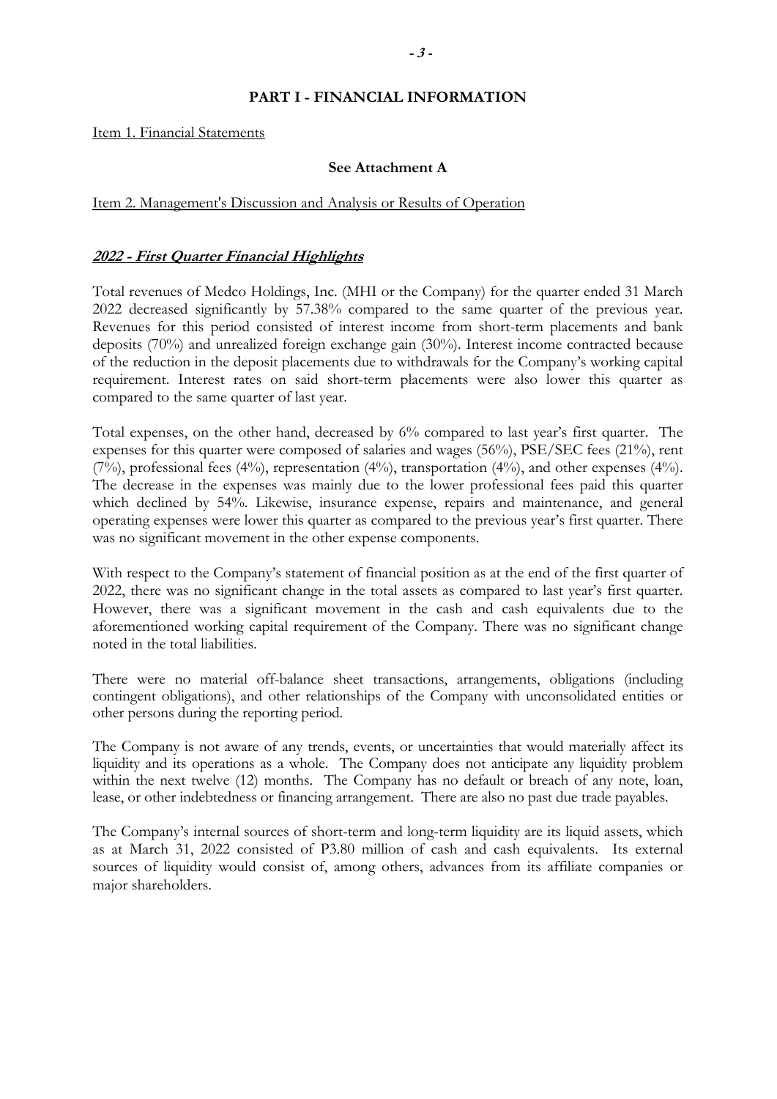### **PART I - FINANCIAL INFORMATION**

Item 1. Financial Statements

#### **See Attachment A**

#### Item 2. Management's Discussion and Analysis or Results of Operation

### **2022 - First Quarter Financial Highlights**

Total revenues of Medco Holdings, Inc. (MHI or the Company) for the quarter ended 31 March 2022 decreased significantly by 57.38% compared to the same quarter of the previous year. Revenues for this period consisted of interest income from short-term placements and bank deposits (70%) and unrealized foreign exchange gain (30%). Interest income contracted because of the reduction in the deposit placements due to withdrawals for the Company's working capital requirement. Interest rates on said short-term placements were also lower this quarter as compared to the same quarter of last year.

Total expenses, on the other hand, decreased by 6% compared to last year's first quarter. The expenses for this quarter were composed of salaries and wages (56%), PSE/SEC fees (21%), rent (7%), professional fees (4%), representation (4%), transportation (4%), and other expenses (4%). The decrease in the expenses was mainly due to the lower professional fees paid this quarter which declined by 54%. Likewise, insurance expense, repairs and maintenance, and general operating expenses were lower this quarter as compared to the previous year's first quarter. There was no significant movement in the other expense components.

With respect to the Company's statement of financial position as at the end of the first quarter of 2022, there was no significant change in the total assets as compared to last year's first quarter. However, there was a significant movement in the cash and cash equivalents due to the aforementioned working capital requirement of the Company. There was no significant change noted in the total liabilities.

There were no material off-balance sheet transactions, arrangements, obligations (including contingent obligations), and other relationships of the Company with unconsolidated entities or other persons during the reporting period.

The Company is not aware of any trends, events, or uncertainties that would materially affect its liquidity and its operations as a whole. The Company does not anticipate any liquidity problem within the next twelve (12) months. The Company has no default or breach of any note, loan, lease, or other indebtedness or financing arrangement. There are also no past due trade payables.

The Company's internal sources of short-term and long-term liquidity are its liquid assets, which as at March 31, 2022 consisted of P3.80 million of cash and cash equivalents. Its external sources of liquidity would consist of, among others, advances from its affiliate companies or major shareholders.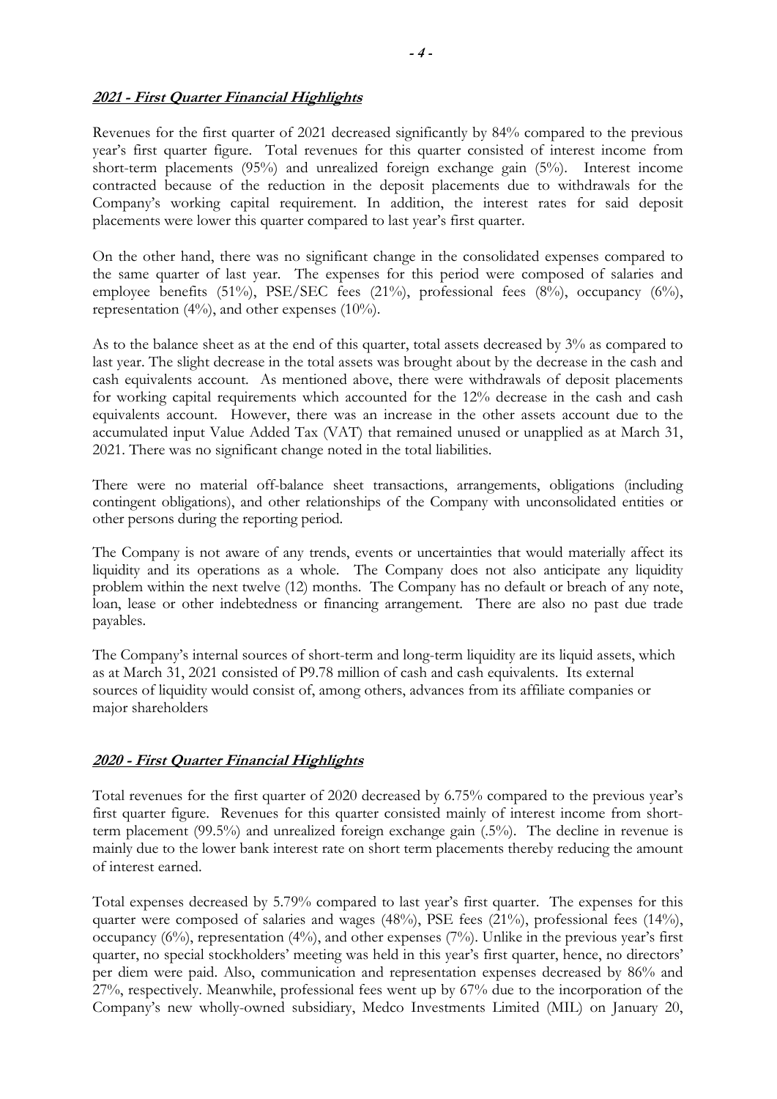## **2021 - First Quarter Financial Highlights**

Revenues for the first quarter of 2021 decreased significantly by 84% compared to the previous year's first quarter figure. Total revenues for this quarter consisted of interest income from short-term placements (95%) and unrealized foreign exchange gain (5%). Interest income contracted because of the reduction in the deposit placements due to withdrawals for the Company's working capital requirement. In addition, the interest rates for said deposit placements were lower this quarter compared to last year's first quarter.

On the other hand, there was no significant change in the consolidated expenses compared to the same quarter of last year. The expenses for this period were composed of salaries and employee benefits (51%), PSE/SEC fees (21%), professional fees (8%), occupancy (6%), representation (4%), and other expenses (10%).

As to the balance sheet as at the end of this quarter, total assets decreased by 3% as compared to last year. The slight decrease in the total assets was brought about by the decrease in the cash and cash equivalents account. As mentioned above, there were withdrawals of deposit placements for working capital requirements which accounted for the 12% decrease in the cash and cash equivalents account. However, there was an increase in the other assets account due to the accumulated input Value Added Tax (VAT) that remained unused or unapplied as at March 31, 2021. There was no significant change noted in the total liabilities.

There were no material off-balance sheet transactions, arrangements, obligations (including contingent obligations), and other relationships of the Company with unconsolidated entities or other persons during the reporting period.

The Company is not aware of any trends, events or uncertainties that would materially affect its liquidity and its operations as a whole. The Company does not also anticipate any liquidity problem within the next twelve (12) months. The Company has no default or breach of any note, loan, lease or other indebtedness or financing arrangement. There are also no past due trade payables.

The Company's internal sources of short-term and long-term liquidity are its liquid assets, which as at March 31, 2021 consisted of P9.78 million of cash and cash equivalents. Its external sources of liquidity would consist of, among others, advances from its affiliate companies or major shareholders

## **2020 - First Quarter Financial Highlights**

Total revenues for the first quarter of 2020 decreased by 6.75% compared to the previous year's first quarter figure. Revenues for this quarter consisted mainly of interest income from shortterm placement (99.5%) and unrealized foreign exchange gain (.5%). The decline in revenue is mainly due to the lower bank interest rate on short term placements thereby reducing the amount of interest earned.

Total expenses decreased by 5.79% compared to last year's first quarter. The expenses for this quarter were composed of salaries and wages  $(48%)$ , PSE fees  $(21%)$ , professional fees  $(14%)$ , occupancy (6%), representation (4%), and other expenses (7%). Unlike in the previous year's first quarter, no special stockholders' meeting was held in this year's first quarter, hence, no directors' per diem were paid. Also, communication and representation expenses decreased by 86% and 27%, respectively. Meanwhile, professional fees went up by 67% due to the incorporation of the Company's new wholly-owned subsidiary, Medco Investments Limited (MIL) on January 20,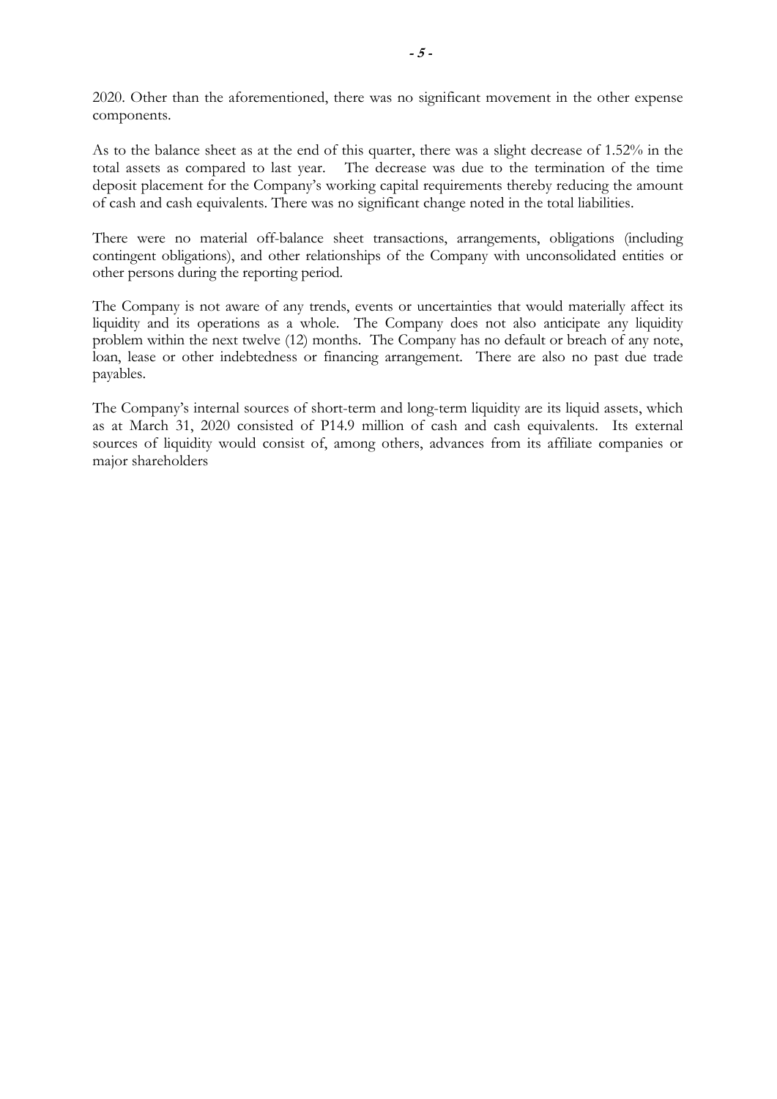2020. Other than the aforementioned, there was no significant movement in the other expense components.

As to the balance sheet as at the end of this quarter, there was a slight decrease of 1.52% in the total assets as compared to last year. The decrease was due to the termination of the time deposit placement for the Company's working capital requirements thereby reducing the amount of cash and cash equivalents. There was no significant change noted in the total liabilities.

There were no material off-balance sheet transactions, arrangements, obligations (including contingent obligations), and other relationships of the Company with unconsolidated entities or other persons during the reporting period.

The Company is not aware of any trends, events or uncertainties that would materially affect its liquidity and its operations as a whole. The Company does not also anticipate any liquidity problem within the next twelve (12) months. The Company has no default or breach of any note, loan, lease or other indebtedness or financing arrangement. There are also no past due trade payables.

The Company's internal sources of short-term and long-term liquidity are its liquid assets, which as at March 31, 2020 consisted of P14.9 million of cash and cash equivalents. Its external sources of liquidity would consist of, among others, advances from its affiliate companies or major shareholders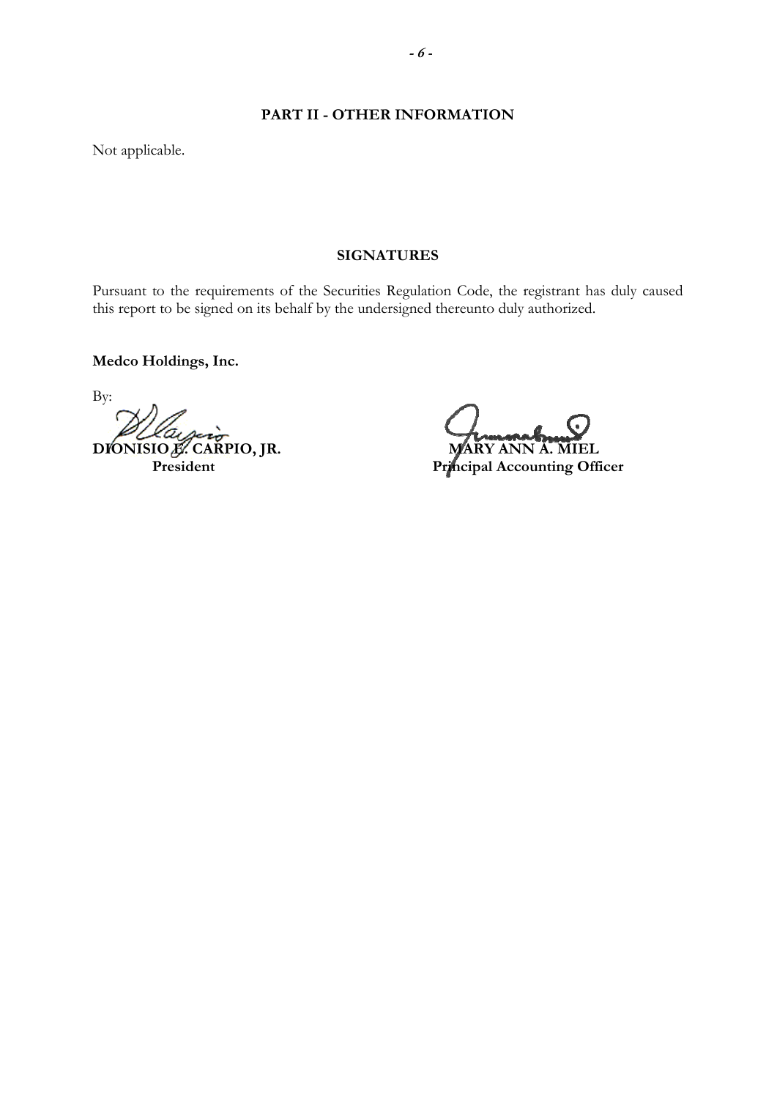### **PART II - OTHER INFORMATION**

Not applicable.

#### **SIGNATURES**

Pursuant to the requirements of the Securities Regulation Code, the registrant has duly caused this report to be signed on its behalf by the undersigned thereunto duly authorized.

**Medco Holdings, Inc.** 

By: **DIONISIO E. CARPIO, JR. MARY ANN A. MIEL** 

**President President Principal Accounting Officer**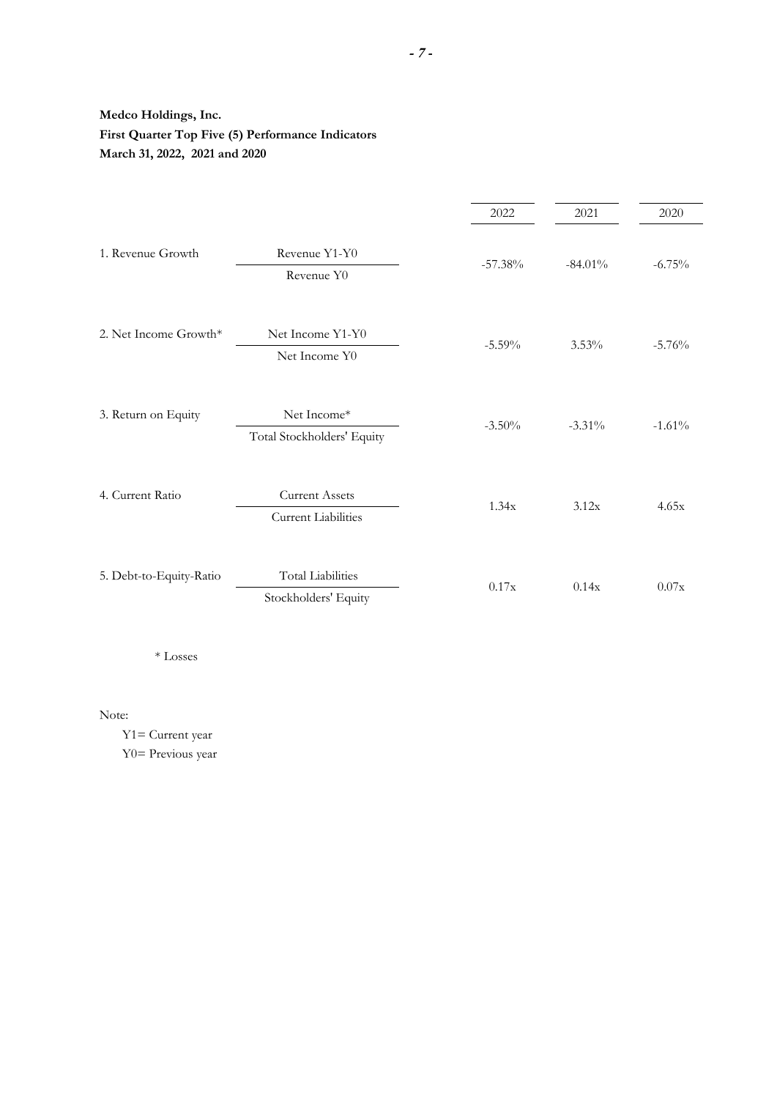## **Medco Holdings, Inc. First Quarter Top Five (5) Performance Indicators March 31, 2022, 2021 and 2020**

|                         |                                                     | 2022      | 2021       | 2020     |
|-------------------------|-----------------------------------------------------|-----------|------------|----------|
| 1. Revenue Growth       | Revenue Y1-Y0<br>Revenue Y0                         | $-57.38%$ | $-84.01\%$ | $-6.75%$ |
| 2. Net Income Growth*   | Net Income Y1-Y0<br>Net Income Y0                   | $-5.59\%$ | $3.53\%$   | $-5.76%$ |
| 3. Return on Equity     | Net Income*<br>Total Stockholders' Equity           | $-3.50%$  | $-3.31\%$  | $-1.61%$ |
| 4. Current Ratio        | <b>Current Assets</b><br><b>Current Liabilities</b> | 1.34x     | 3.12x      | 4.65x    |
| 5. Debt-to-Equity-Ratio | <b>Total Liabilities</b><br>Stockholders' Equity    | 0.17x     | 0.14x      | 0.07x    |

 $\ast$  Losses

Note:

 Y1= Current year Y0= Previous year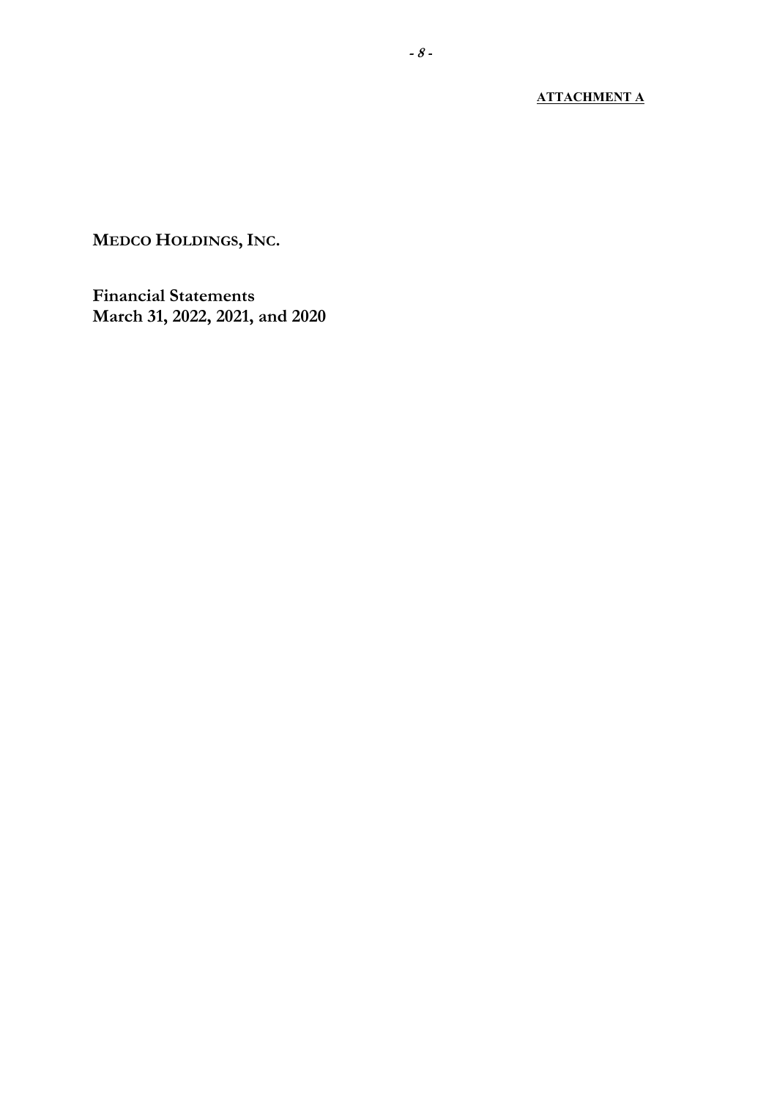## **ATTACHMENT A**

**MEDCO HOLDINGS, INC.**

**Financial Statements March 31, 2022, 2021, and 2020**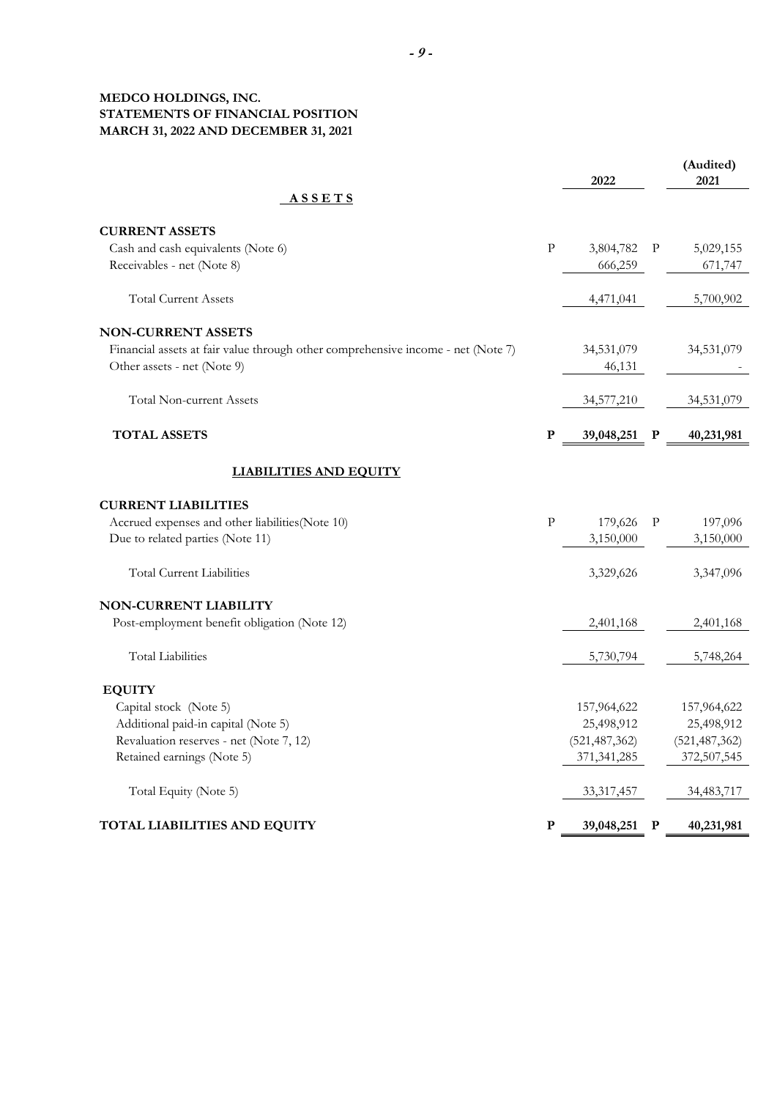#### **MEDCO HOLDINGS, INC. STATEMENTS OF FINANCIAL POSITION MARCH 31, 2022 AND DECEMBER 31, 2021**

|                                                                                  |             | 2022            |              | (Audited)<br>2021 |
|----------------------------------------------------------------------------------|-------------|-----------------|--------------|-------------------|
| <b>ASSETS</b>                                                                    |             |                 |              |                   |
| <b>CURRENT ASSETS</b>                                                            |             |                 |              |                   |
| Cash and cash equivalents (Note 6)                                               | $\rm P$     | 3,804,782       | P            | 5,029,155         |
| Receivables - net (Note 8)                                                       |             | 666,259         |              | 671,747           |
| <b>Total Current Assets</b>                                                      |             | 4,471,041       |              | 5,700,902         |
| <b>NON-CURRENT ASSETS</b>                                                        |             |                 |              |                   |
| Financial assets at fair value through other comprehensive income - net (Note 7) |             | 34,531,079      |              | 34,531,079        |
| Other assets - net (Note 9)                                                      |             | 46,131          |              |                   |
| <b>Total Non-current Assets</b>                                                  |             | 34,577,210      |              | 34,531,079        |
| <b>TOTAL ASSETS</b>                                                              | $\mathbf P$ | 39,048,251      | $\mathbf P$  | 40,231,981        |
| <b>LIABILITIES AND EQUITY</b>                                                    |             |                 |              |                   |
| <b>CURRENT LIABILITIES</b>                                                       |             |                 |              |                   |
| Accrued expenses and other liabilities(Note 10)                                  | ${\bf P}$   | 179,626         | $\mathbf{P}$ | 197,096           |
| Due to related parties (Note 11)                                                 |             | 3,150,000       |              | 3,150,000         |
| <b>Total Current Liabilities</b>                                                 |             | 3,329,626       |              | 3,347,096         |
| <b>NON-CURRENT LIABILITY</b>                                                     |             |                 |              |                   |
| Post-employment benefit obligation (Note 12)                                     |             | 2,401,168       |              | 2,401,168         |
| <b>Total Liabilities</b>                                                         |             | 5,730,794       |              | 5,748,264         |
| <b>EQUITY</b>                                                                    |             |                 |              |                   |
| Capital stock (Note 5)                                                           |             | 157,964,622     |              | 157,964,622       |
| Additional paid-in capital (Note 5)                                              |             | 25,498,912      |              | 25,498,912        |
| Revaluation reserves - net (Note 7, 12)                                          |             | (521, 487, 362) |              | (521, 487, 362)   |
| Retained earnings (Note 5)                                                       |             | 371, 341, 285   |              | 372,507,545       |
| Total Equity (Note 5)                                                            |             | 33,317,457      |              | 34,483,717        |
| TOTAL LIABILITIES AND EQUITY                                                     | P           | 39,048,251      | P            | 40,231,981        |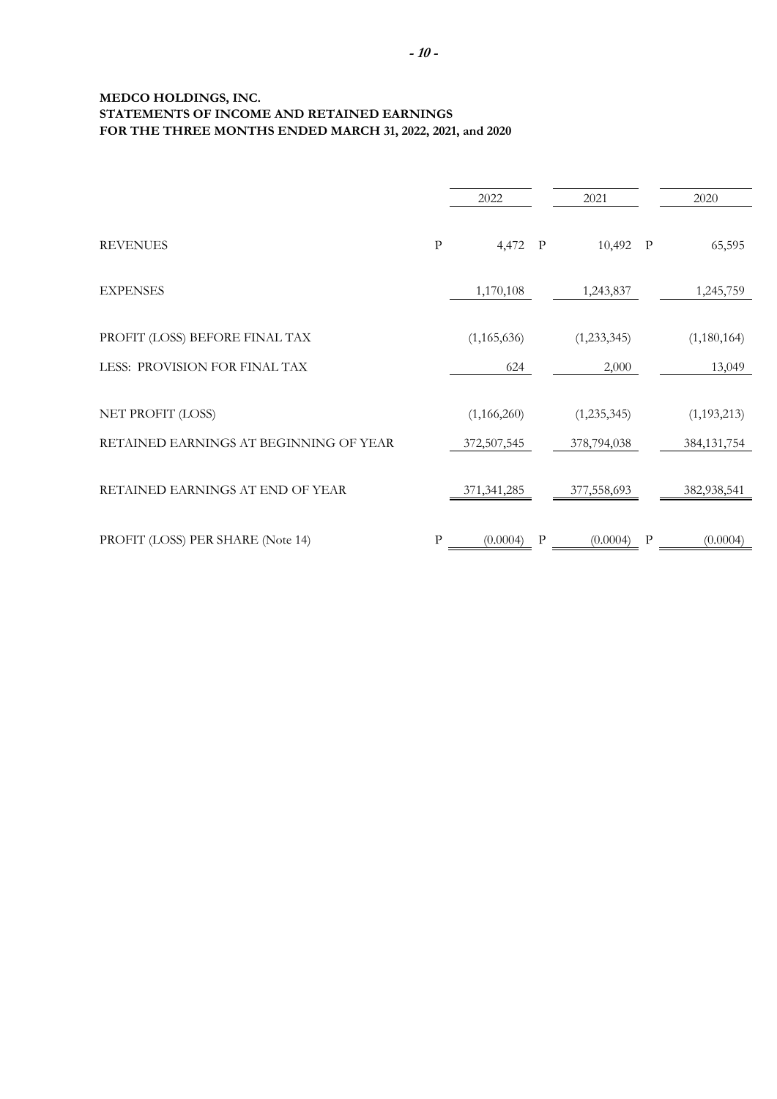#### **MEDCO HOLDINGS, INC. STATEMENTS OF INCOME AND RETAINED EARNINGS FOR THE THREE MONTHS ENDED MARCH 31, 2022, 2021, and 2020**

|                                        |              | 2022          |              | 2021          |              | 2020          |
|----------------------------------------|--------------|---------------|--------------|---------------|--------------|---------------|
| <b>REVENUES</b>                        | $\rm P$      | 4,472         | $\mathbf{P}$ | 10,492 P      |              | 65,595        |
| <b>EXPENSES</b>                        |              | 1,170,108     |              | 1,243,837     |              | 1,245,759     |
| PROFIT (LOSS) BEFORE FINAL TAX         |              | (1, 165, 636) |              | (1, 233, 345) |              | (1,180,164)   |
| LESS: PROVISION FOR FINAL TAX          |              | 624           |              | 2,000         |              | 13,049        |
| NET PROFIT (LOSS)                      |              | (1,166,260)   |              | (1, 235, 345) |              | (1, 193, 213) |
| RETAINED EARNINGS AT BEGINNING OF YEAR |              | 372,507,545   |              | 378,794,038   |              | 384, 131, 754 |
| RETAINED EARNINGS AT END OF YEAR       |              | 371, 341, 285 |              | 377,558,693   |              | 382,938,541   |
| PROFIT (LOSS) PER SHARE (Note 14)      | $\mathbf{P}$ | (0.0004)      | P            | (0.0004)      | $\mathbf{P}$ | (0.0004)      |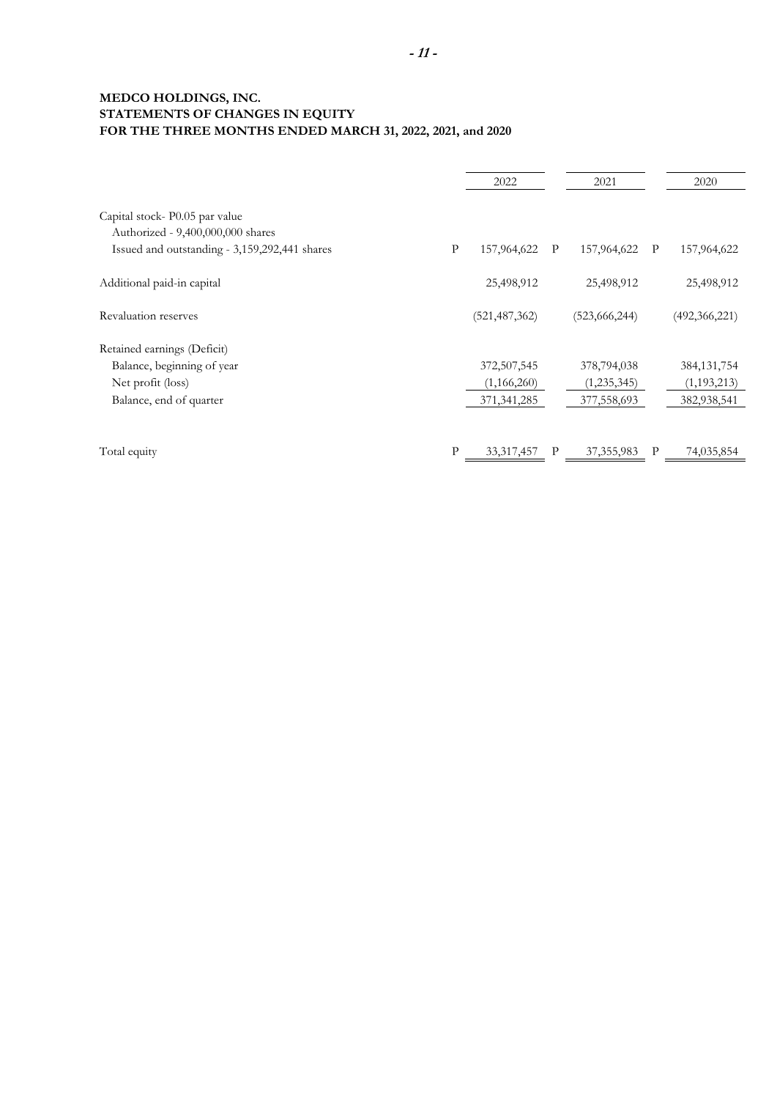### **MEDCO HOLDINGS, INC. STATEMENTS OF CHANGES IN EQUITY FOR THE THREE MONTHS ENDED MARCH 31, 2022, 2021, and 2020**

|                                               |              | 2022            |   | 2021            |              | 2020            |
|-----------------------------------------------|--------------|-----------------|---|-----------------|--------------|-----------------|
| Capital stock-P0.05 par value                 |              |                 |   |                 |              |                 |
| Authorized - 9,400,000,000 shares             |              |                 |   |                 |              |                 |
| Issued and outstanding - 3,159,292,441 shares | $\mathbf{P}$ | 157,964,622     | P | 157,964,622     | $\mathbf{P}$ | 157,964,622     |
| Additional paid-in capital                    |              | 25,498,912      |   | 25,498,912      |              | 25,498,912      |
| Revaluation reserves                          |              | (521, 487, 362) |   | (523, 666, 244) |              | (492, 366, 221) |
| Retained earnings (Deficit)                   |              |                 |   |                 |              |                 |
| Balance, beginning of year                    |              | 372,507,545     |   | 378,794,038     |              | 384, 131, 754   |
| Net profit (loss)                             |              | (1,166,260)     |   | (1, 235, 345)   |              | (1, 193, 213)   |
| Balance, end of quarter                       |              | 371, 341, 285   |   | 377,558,693     |              | 382,938,541     |
| Total equity                                  | P            | 33, 317, 457    | P | 37, 355, 983    | P            | 74,035,854      |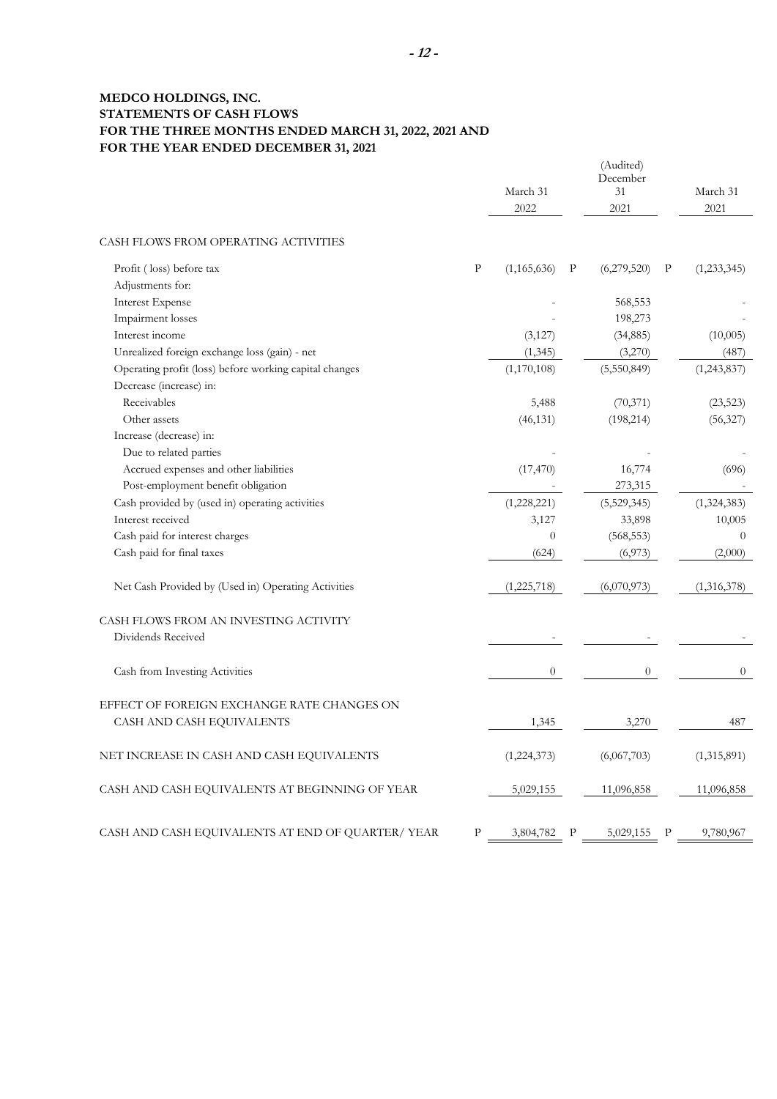### **MEDCO HOLDINGS, INC. STATEMENTS OF CASH FLOWS FOR THE THREE MONTHS ENDED MARCH 31, 2022, 2021 AND FOR THE YEAR ENDED DECEMBER 31, 2021**

|                                                             |              | March 31<br>2022 |   | (Audited)<br>December<br>31<br>2021 |   | March 31<br>2021 |
|-------------------------------------------------------------|--------------|------------------|---|-------------------------------------|---|------------------|
| CASH FLOWS FROM OPERATING ACTIVITIES                        |              |                  |   |                                     |   |                  |
| Profit (loss) before tax                                    | $\mathbf{P}$ | (1, 165, 636)    | P | (6,279,520)                         | P | (1, 233, 345)    |
| Adjustments for:                                            |              |                  |   |                                     |   |                  |
| <b>Interest Expense</b>                                     |              |                  |   | 568,553                             |   |                  |
| Impairment losses                                           |              |                  |   | 198,273                             |   |                  |
| Interest income                                             |              | (3,127)          |   | (34,885)                            |   | (10,005)         |
| Unrealized foreign exchange loss (gain) - net               |              | (1, 345)         |   | (3,270)                             |   | (487)            |
| Operating profit (loss) before working capital changes      |              | (1,170,108)      |   | (5,550,849)                         |   | (1,243,837)      |
| Decrease (increase) in:                                     |              |                  |   |                                     |   |                  |
| Receivables                                                 |              | 5,488            |   | (70, 371)                           |   | (23, 523)        |
| Other assets                                                |              | (46, 131)        |   | (198, 214)                          |   | (56,327)         |
| Increase (decrease) in:                                     |              |                  |   |                                     |   |                  |
| Due to related parties                                      |              |                  |   |                                     |   |                  |
| Accrued expenses and other liabilities                      |              | (17, 470)        |   | 16,774                              |   | (696)            |
| Post-employment benefit obligation                          |              |                  |   | 273,315                             |   |                  |
| Cash provided by (used in) operating activities             |              | (1,228,221)      |   | (5,529,345)                         |   | (1,324,383)      |
| Interest received                                           |              | 3,127            |   | 33,898                              |   | 10,005           |
| Cash paid for interest charges                              |              | $\overline{0}$   |   | (568, 553)                          |   | $\theta$         |
| Cash paid for final taxes                                   |              | (624)            |   | (6,973)                             |   | (2,000)          |
| Net Cash Provided by (Used in) Operating Activities         |              | (1,225,718)      |   | (6,070,973)                         |   | (1,316,378)      |
| CASH FLOWS FROM AN INVESTING ACTIVITY<br>Dividends Received |              |                  |   |                                     |   |                  |
| Cash from Investing Activities                              |              | $\overline{0}$   |   | $\overline{0}$                      |   | $\overline{0}$   |
| EFFECT OF FOREIGN EXCHANGE RATE CHANGES ON                  |              |                  |   |                                     |   |                  |
| CASH AND CASH EQUIVALENTS                                   |              | 1,345            |   | 3,270                               |   | 487              |
| NET INCREASE IN CASH AND CASH EQUIVALENTS                   |              | (1,224,373)      |   | (6,067,703)                         |   | (1,315,891)      |
| CASH AND CASH EQUIVALENTS AT BEGINNING OF YEAR              |              | 5,029,155        |   | 11,096,858                          |   | 11,096,858       |
| CASH AND CASH EQUIVALENTS AT END OF QUARTER/YEAR            | $\mathbf{P}$ | 3,804,782        | P | 5,029,155                           | P | 9,780,967        |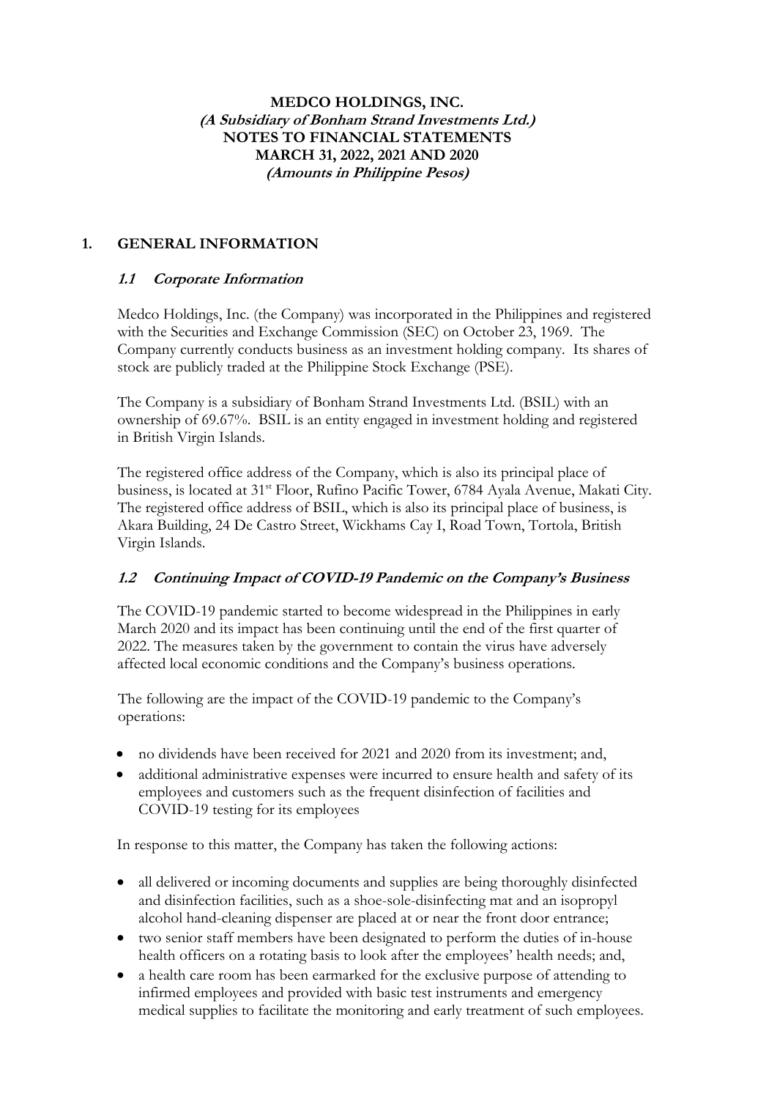## **MEDCO HOLDINGS, INC. (A Subsidiary of Bonham Strand Investments Ltd.) NOTES TO FINANCIAL STATEMENTS MARCH 31, 2022, 2021 AND 2020 (Amounts in Philippine Pesos)**

## **1. GENERAL INFORMATION**

## **1.1 Corporate Information**

Medco Holdings, Inc. (the Company) was incorporated in the Philippines and registered with the Securities and Exchange Commission (SEC) on October 23, 1969. The Company currently conducts business as an investment holding company. Its shares of stock are publicly traded at the Philippine Stock Exchange (PSE).

The Company is a subsidiary of Bonham Strand Investments Ltd. (BSIL) with an ownership of 69.67%. BSIL is an entity engaged in investment holding and registered in British Virgin Islands.

The registered office address of the Company, which is also its principal place of business, is located at 31<sup>st</sup> Floor, Rufino Pacific Tower, 6784 Ayala Avenue, Makati City. The registered office address of BSIL, which is also its principal place of business, is Akara Building, 24 De Castro Street, Wickhams Cay I, Road Town, Tortola, British Virgin Islands.

## **1.2 Continuing Impact of COVID-19 Pandemic on the Company's Business**

The COVID-19 pandemic started to become widespread in the Philippines in early March 2020 and its impact has been continuing until the end of the first quarter of 2022. The measures taken by the government to contain the virus have adversely affected local economic conditions and the Company's business operations.

The following are the impact of the COVID-19 pandemic to the Company's operations:

- no dividends have been received for 2021 and 2020 from its investment; and,
- additional administrative expenses were incurred to ensure health and safety of its employees and customers such as the frequent disinfection of facilities and COVID-19 testing for its employees

In response to this matter, the Company has taken the following actions:

- all delivered or incoming documents and supplies are being thoroughly disinfected and disinfection facilities, such as a shoe-sole-disinfecting mat and an isopropyl alcohol hand-cleaning dispenser are placed at or near the front door entrance;
- two senior staff members have been designated to perform the duties of in-house health officers on a rotating basis to look after the employees' health needs; and,
- a health care room has been earmarked for the exclusive purpose of attending to infirmed employees and provided with basic test instruments and emergency medical supplies to facilitate the monitoring and early treatment of such employees.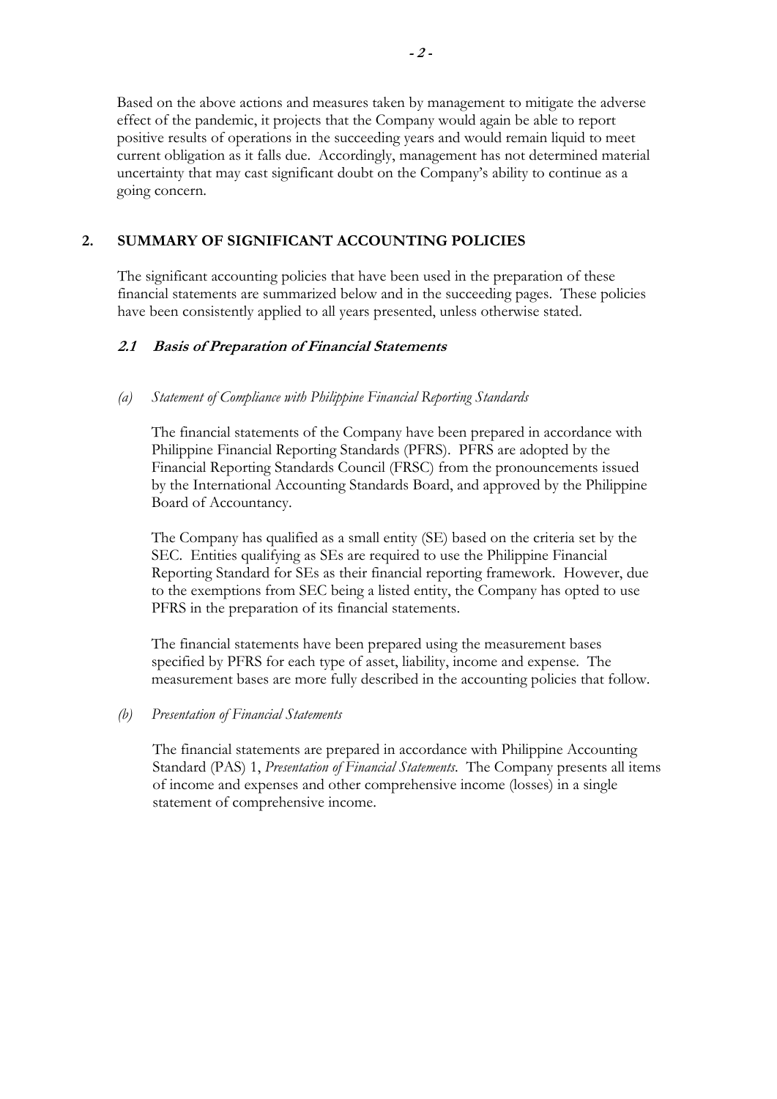Based on the above actions and measures taken by management to mitigate the adverse effect of the pandemic, it projects that the Company would again be able to report positive results of operations in the succeeding years and would remain liquid to meet current obligation as it falls due. Accordingly, management has not determined material uncertainty that may cast significant doubt on the Company's ability to continue as a going concern.

## **2. SUMMARY OF SIGNIFICANT ACCOUNTING POLICIES**

 The significant accounting policies that have been used in the preparation of these financial statements are summarized below and in the succeeding pages. These policies have been consistently applied to all years presented, unless otherwise stated.

## **2.1 Basis of Preparation of Financial Statements**

## *(a) Statement of Compliance with Philippine Financial Reporting Standards*

The financial statements of the Company have been prepared in accordance with Philippine Financial Reporting Standards (PFRS). PFRS are adopted by the Financial Reporting Standards Council (FRSC) from the pronouncements issued by the International Accounting Standards Board, and approved by the Philippine Board of Accountancy.

The Company has qualified as a small entity (SE) based on the criteria set by the SEC. Entities qualifying as SEs are required to use the Philippine Financial Reporting Standard for SEs as their financial reporting framework. However, due to the exemptions from SEC being a listed entity, the Company has opted to use PFRS in the preparation of its financial statements.

The financial statements have been prepared using the measurement bases specified by PFRS for each type of asset, liability, income and expense. The measurement bases are more fully described in the accounting policies that follow.

## *(b) Presentation of Financial Statements*

The financial statements are prepared in accordance with Philippine Accounting Standard (PAS) 1, *Presentation of Financial Statements*. The Company presents all items of income and expenses and other comprehensive income (losses) in a single statement of comprehensive income.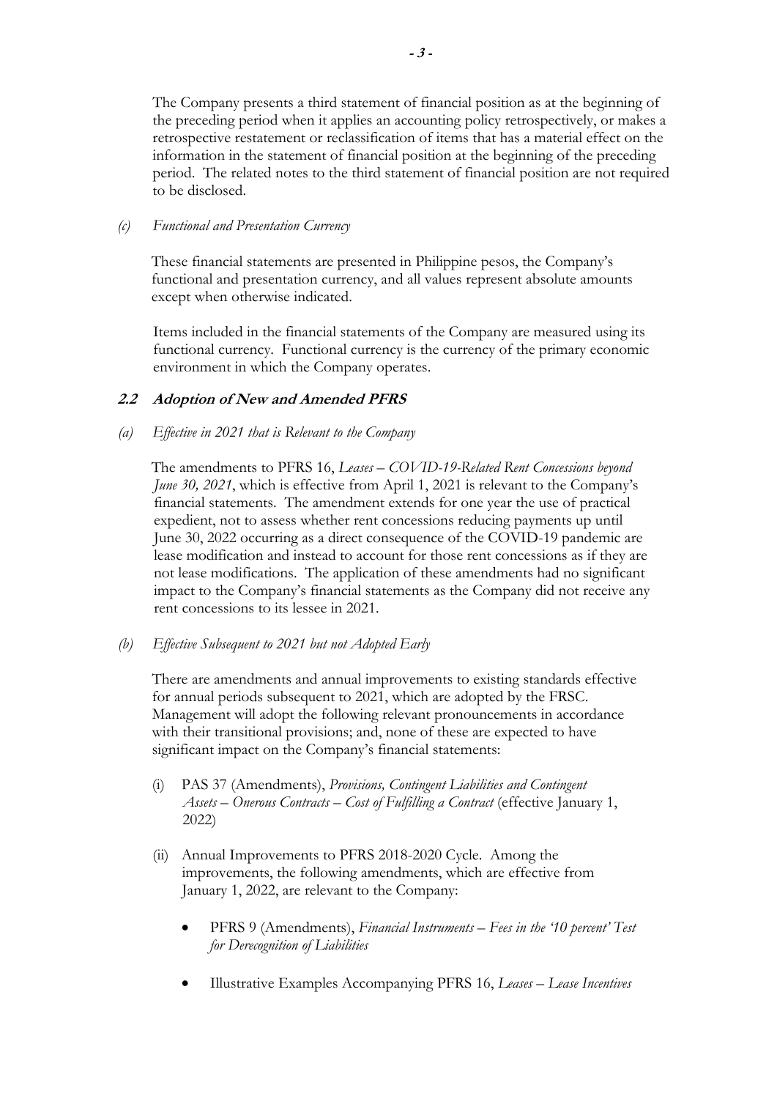The Company presents a third statement of financial position as at the beginning of the preceding period when it applies an accounting policy retrospectively, or makes a retrospective restatement or reclassification of items that has a material effect on the information in the statement of financial position at the beginning of the preceding period. The related notes to the third statement of financial position are not required to be disclosed.

## *(c) Functional and Presentation Currency*

These financial statements are presented in Philippine pesos, the Company's functional and presentation currency, and all values represent absolute amounts except when otherwise indicated.

Items included in the financial statements of the Company are measured using its functional currency. Functional currency is the currency of the primary economic environment in which the Company operates.

## **2.2 Adoption of New and Amended PFRS**

## *(a) Effective in 2021 that is Relevant to the Company*

The amendments to PFRS 16, *Leases – COVID-19-Related Rent Concessions beyond June 30, 2021*, which is effective from April 1, 2021 is relevant to the Company's financial statements. The amendment extends for one year the use of practical expedient, not to assess whether rent concessions reducing payments up until June 30, 2022 occurring as a direct consequence of the COVID-19 pandemic are lease modification and instead to account for those rent concessions as if they are not lease modifications. The application of these amendments had no significant impact to the Company's financial statements as the Company did not receive any rent concessions to its lessee in 2021.

*(b) Effective Subsequent to 2021 but not Adopted Early* 

There are amendments and annual improvements to existing standards effective for annual periods subsequent to 2021, which are adopted by the FRSC. Management will adopt the following relevant pronouncements in accordance with their transitional provisions; and, none of these are expected to have significant impact on the Company's financial statements:

- (i) PAS 37 (Amendments), *Provisions, Contingent Liabilities and Contingent Assets – Onerous Contracts – Cost of Fulfilling a Contract* (effective January 1, 2022)
- (ii) Annual Improvements to PFRS 2018-2020 Cycle. Among the improvements, the following amendments, which are effective from January 1, 2022, are relevant to the Company:
	- PFRS 9 (Amendments), *Financial Instruments Fees in the '10 percent' Test for Derecognition of Liabilities*
	- Illustrative Examples Accompanying PFRS 16, *Leases Lease Incentives*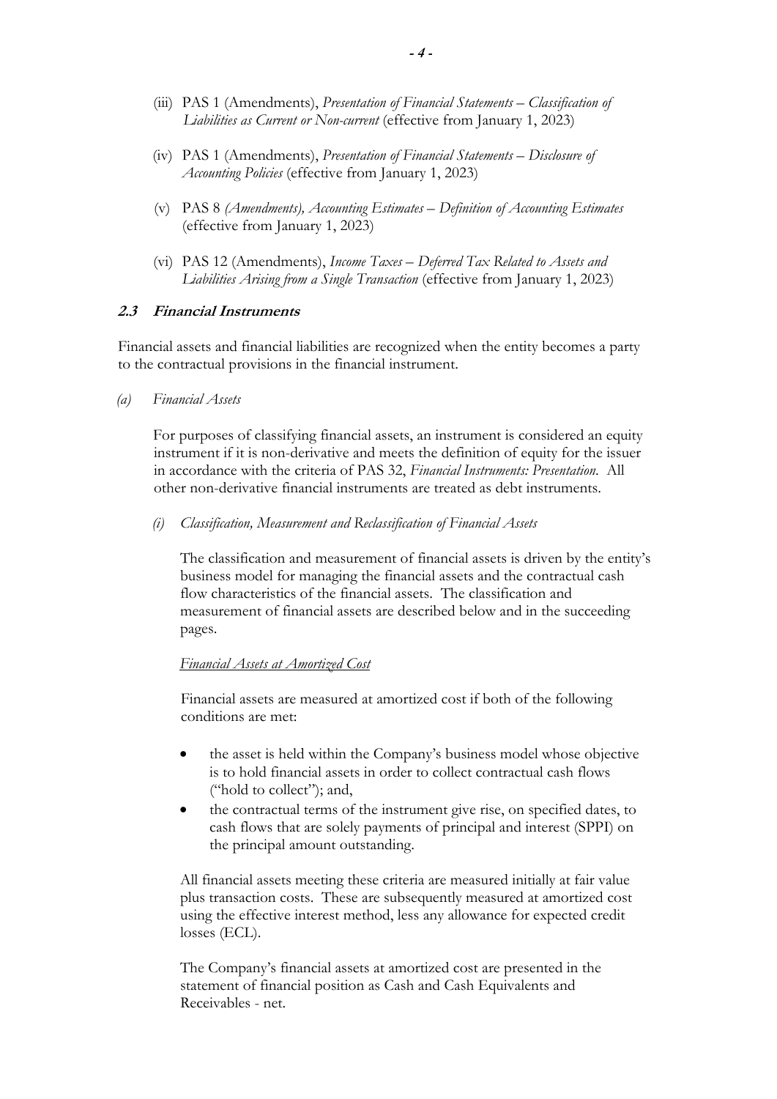- (iii) PAS 1 (Amendments), *Presentation of Financial Statements Classification of Liabilities as Current or Non-current* (effective from January 1, 2023)
- (iv) PAS 1 (Amendments), *Presentation of Financial Statements Disclosure of Accounting Policies* (effective from January 1, 2023)
- (v) PAS 8 *(Amendments), Accounting Estimates Definition of Accounting Estimates* (effective from January 1, 2023)
- (vi) PAS 12 (Amendments), *Income Taxes Deferred Tax Related to Assets and Liabilities Arising from a Single Transaction* (effective from January 1, 2023)

## **2.3 Financial Instruments**

Financial assets and financial liabilities are recognized when the entity becomes a party to the contractual provisions in the financial instrument.

*(a) Financial Assets*

For purposes of classifying financial assets, an instrument is considered an equity instrument if it is non-derivative and meets the definition of equity for the issuer in accordance with the criteria of PAS 32, *Financial Instruments: Presentation*. All other non-derivative financial instruments are treated as debt instruments.

*(i) Classification, Measurement and Reclassification of Financial Assets* 

The classification and measurement of financial assets is driven by the entity's business model for managing the financial assets and the contractual cash flow characteristics of the financial assets. The classification and measurement of financial assets are described below and in the succeeding pages.

#### *Financial Assets at Amortized Cost*

Financial assets are measured at amortized cost if both of the following conditions are met:

- the asset is held within the Company's business model whose objective is to hold financial assets in order to collect contractual cash flows ("hold to collect"); and,
- the contractual terms of the instrument give rise, on specified dates, to cash flows that are solely payments of principal and interest (SPPI) on the principal amount outstanding.

 All financial assets meeting these criteria are measured initially at fair value plus transaction costs. These are subsequently measured at amortized cost using the effective interest method, less any allowance for expected credit losses (ECL).

The Company's financial assets at amortized cost are presented in the statement of financial position as Cash and Cash Equivalents and Receivables - net.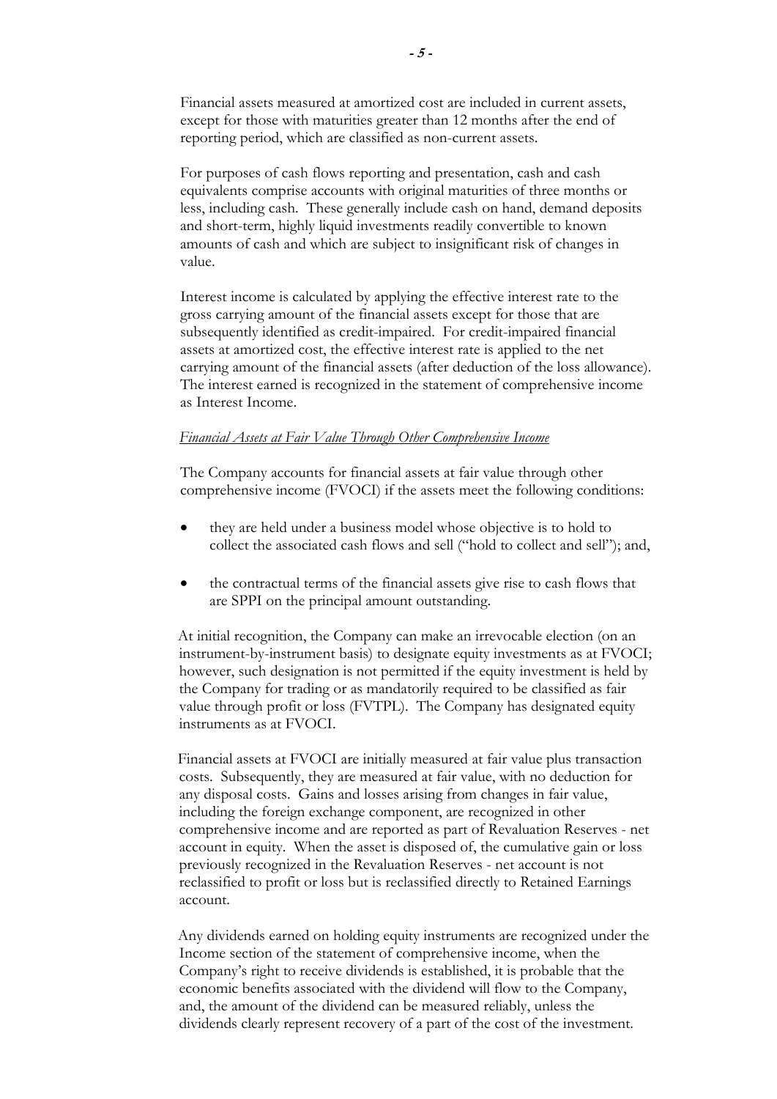Financial assets measured at amortized cost are included in current assets, except for those with maturities greater than 12 months after the end of reporting period, which are classified as non-current assets.

 For purposes of cash flows reporting and presentation, cash and cash equivalents comprise accounts with original maturities of three months or less, including cash. These generally include cash on hand, demand deposits and short-term, highly liquid investments readily convertible to known amounts of cash and which are subject to insignificant risk of changes in value.

Interest income is calculated by applying the effective interest rate to the gross carrying amount of the financial assets except for those that are subsequently identified as credit-impaired. For credit-impaired financial assets at amortized cost, the effective interest rate is applied to the net carrying amount of the financial assets (after deduction of the loss allowance). The interest earned is recognized in the statement of comprehensive income as Interest Income.

#### *Financial Assets at Fair Value Through Other Comprehensive Income*

The Company accounts for financial assets at fair value through other comprehensive income (FVOCI) if the assets meet the following conditions:

- they are held under a business model whose objective is to hold to collect the associated cash flows and sell ("hold to collect and sell"); and,
- the contractual terms of the financial assets give rise to cash flows that are SPPI on the principal amount outstanding.

At initial recognition, the Company can make an irrevocable election (on an instrument-by-instrument basis) to designate equity investments as at FVOCI; however, such designation is not permitted if the equity investment is held by the Company for trading or as mandatorily required to be classified as fair value through profit or loss (FVTPL). The Company has designated equity instruments as at FVOCI.

Financial assets at FVOCI are initially measured at fair value plus transaction costs. Subsequently, they are measured at fair value, with no deduction for any disposal costs. Gains and losses arising from changes in fair value, including the foreign exchange component, are recognized in other comprehensive income and are reported as part of Revaluation Reserves - net account in equity. When the asset is disposed of, the cumulative gain or loss previously recognized in the Revaluation Reserves - net account is not reclassified to profit or loss but is reclassified directly to Retained Earnings account.

Any dividends earned on holding equity instruments are recognized under the Income section of the statement of comprehensive income, when the Company's right to receive dividends is established, it is probable that the economic benefits associated with the dividend will flow to the Company, and, the amount of the dividend can be measured reliably, unless the dividends clearly represent recovery of a part of the cost of the investment.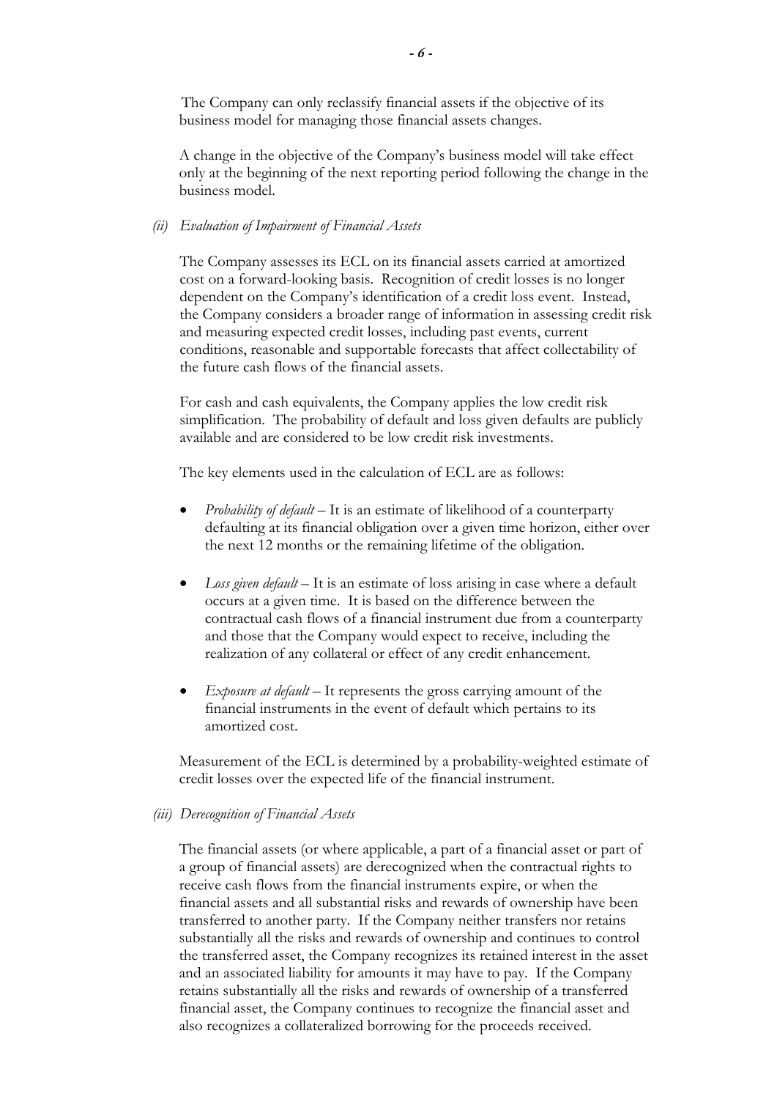The Company can only reclassify financial assets if the objective of its business model for managing those financial assets changes.

A change in the objective of the Company's business model will take effect only at the beginning of the next reporting period following the change in the business model.

#### *(ii) Evaluation of Impairment of Financial Assets*

The Company assesses its ECL on its financial assets carried at amortized cost on a forward-looking basis. Recognition of credit losses is no longer dependent on the Company's identification of a credit loss event. Instead, the Company considers a broader range of information in assessing credit risk and measuring expected credit losses, including past events, current conditions, reasonable and supportable forecasts that affect collectability of the future cash flows of the financial assets.

For cash and cash equivalents, the Company applies the low credit risk simplification. The probability of default and loss given defaults are publicly available and are considered to be low credit risk investments.

The key elements used in the calculation of ECL are as follows:

- *Probability of default* It is an estimate of likelihood of a counterparty defaulting at its financial obligation over a given time horizon, either over the next 12 months or the remaining lifetime of the obligation.
- *Loss given default* It is an estimate of loss arising in case where a default occurs at a given time. It is based on the difference between the contractual cash flows of a financial instrument due from a counterparty and those that the Company would expect to receive, including the realization of any collateral or effect of any credit enhancement.
- *Exposure at default* It represents the gross carrying amount of the financial instruments in the event of default which pertains to its amortized cost.

Measurement of the ECL is determined by a probability-weighted estimate of credit losses over the expected life of the financial instrument.

#### *(iii) Derecognition of Financial Assets*

The financial assets (or where applicable, a part of a financial asset or part of a group of financial assets) are derecognized when the contractual rights to receive cash flows from the financial instruments expire, or when the financial assets and all substantial risks and rewards of ownership have been transferred to another party. If the Company neither transfers nor retains substantially all the risks and rewards of ownership and continues to control the transferred asset, the Company recognizes its retained interest in the asset and an associated liability for amounts it may have to pay. If the Company retains substantially all the risks and rewards of ownership of a transferred financial asset, the Company continues to recognize the financial asset and also recognizes a collateralized borrowing for the proceeds received.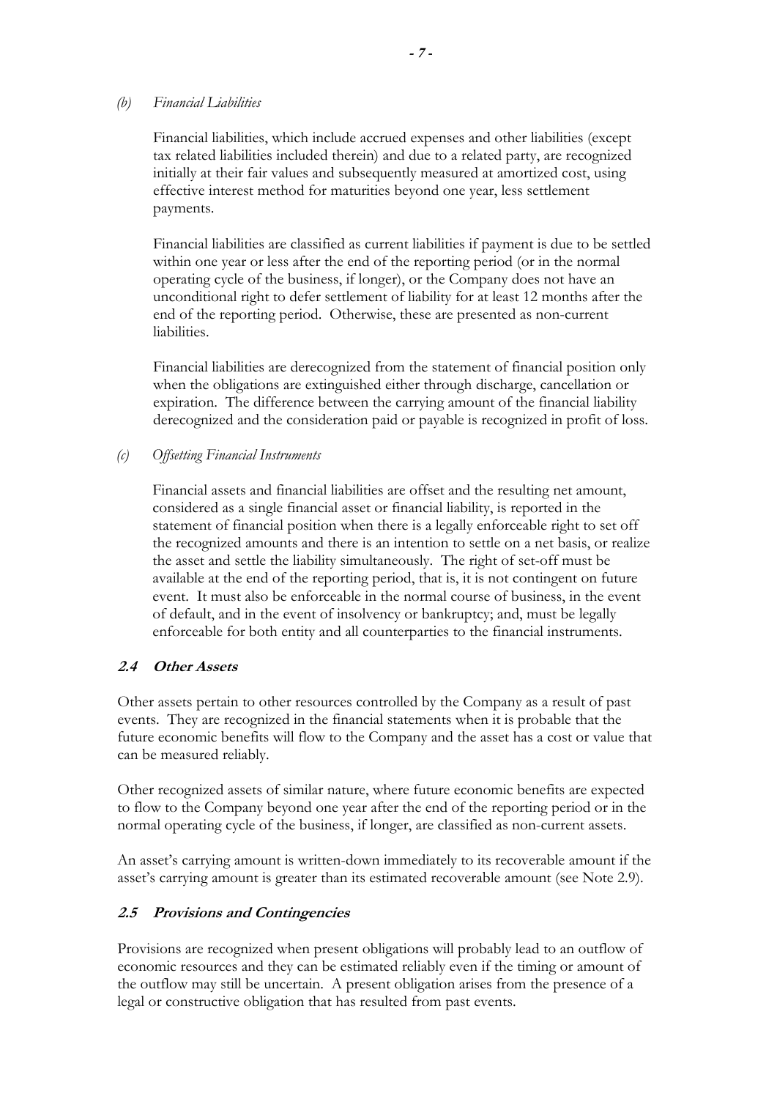#### *(b) Financial Liabilities*

Financial liabilities, which include accrued expenses and other liabilities (except tax related liabilities included therein) and due to a related party, are recognized initially at their fair values and subsequently measured at amortized cost, using effective interest method for maturities beyond one year, less settlement payments.

Financial liabilities are classified as current liabilities if payment is due to be settled within one year or less after the end of the reporting period (or in the normal operating cycle of the business, if longer), or the Company does not have an unconditional right to defer settlement of liability for at least 12 months after the end of the reporting period. Otherwise, these are presented as non-current liabilities.

Financial liabilities are derecognized from the statement of financial position only when the obligations are extinguished either through discharge, cancellation or expiration. The difference between the carrying amount of the financial liability derecognized and the consideration paid or payable is recognized in profit of loss.

## *(c) Offsetting Financial Instruments*

Financial assets and financial liabilities are offset and the resulting net amount, considered as a single financial asset or financial liability, is reported in the statement of financial position when there is a legally enforceable right to set off the recognized amounts and there is an intention to settle on a net basis, or realize the asset and settle the liability simultaneously. The right of set-off must be available at the end of the reporting period, that is, it is not contingent on future event. It must also be enforceable in the normal course of business, in the event of default, and in the event of insolvency or bankruptcy; and, must be legally enforceable for both entity and all counterparties to the financial instruments.

## **2.4 Other Assets**

Other assets pertain to other resources controlled by the Company as a result of past events. They are recognized in the financial statements when it is probable that the future economic benefits will flow to the Company and the asset has a cost or value that can be measured reliably.

Other recognized assets of similar nature, where future economic benefits are expected to flow to the Company beyond one year after the end of the reporting period or in the normal operating cycle of the business, if longer, are classified as non-current assets.

An asset's carrying amount is written-down immediately to its recoverable amount if the asset's carrying amount is greater than its estimated recoverable amount (see Note 2.9).

## **2.5 Provisions and Contingencies**

Provisions are recognized when present obligations will probably lead to an outflow of economic resources and they can be estimated reliably even if the timing or amount of the outflow may still be uncertain. A present obligation arises from the presence of a legal or constructive obligation that has resulted from past events.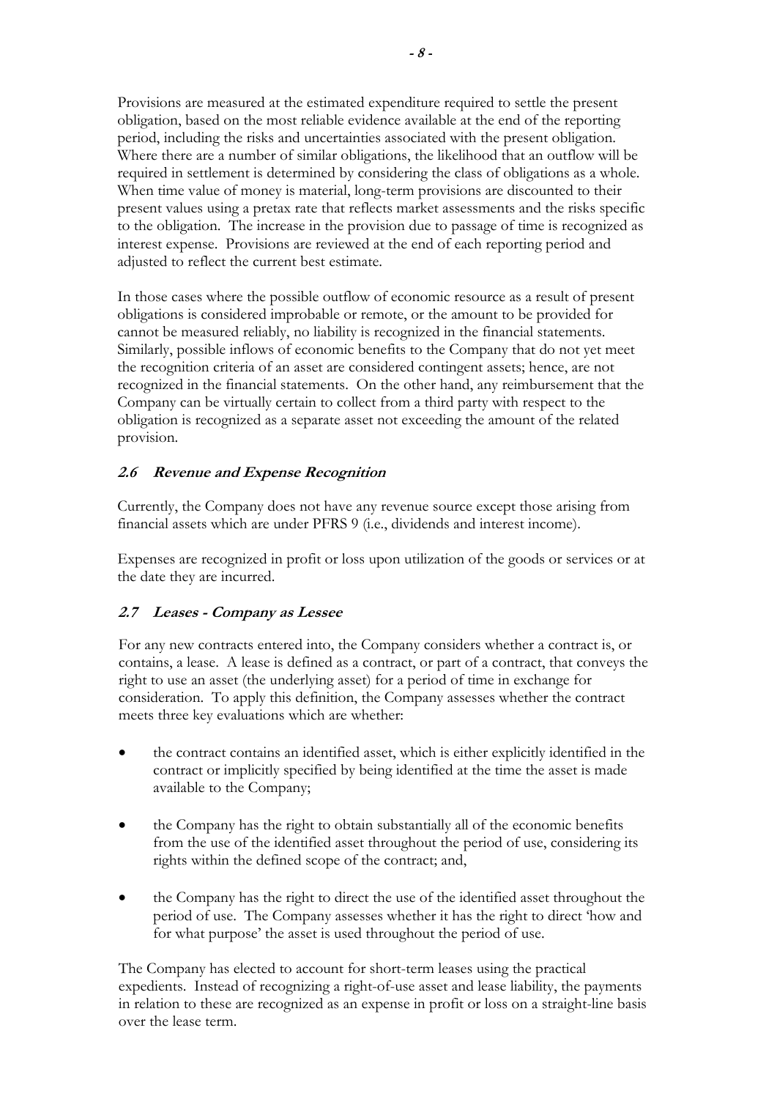Provisions are measured at the estimated expenditure required to settle the present obligation, based on the most reliable evidence available at the end of the reporting period, including the risks and uncertainties associated with the present obligation. Where there are a number of similar obligations, the likelihood that an outflow will be required in settlement is determined by considering the class of obligations as a whole. When time value of money is material, long-term provisions are discounted to their present values using a pretax rate that reflects market assessments and the risks specific to the obligation. The increase in the provision due to passage of time is recognized as interest expense. Provisions are reviewed at the end of each reporting period and adjusted to reflect the current best estimate.

In those cases where the possible outflow of economic resource as a result of present obligations is considered improbable or remote, or the amount to be provided for cannot be measured reliably, no liability is recognized in the financial statements. Similarly, possible inflows of economic benefits to the Company that do not yet meet the recognition criteria of an asset are considered contingent assets; hence, are not recognized in the financial statements. On the other hand, any reimbursement that the Company can be virtually certain to collect from a third party with respect to the obligation is recognized as a separate asset not exceeding the amount of the related provision.

## **2.6 Revenue and Expense Recognition**

Currently, the Company does not have any revenue source except those arising from financial assets which are under PFRS 9 (i.e., dividends and interest income).

Expenses are recognized in profit or loss upon utilization of the goods or services or at the date they are incurred.

## **2.7 Leases - Company as Lessee**

For any new contracts entered into, the Company considers whether a contract is, or contains, a lease. A lease is defined as a contract, or part of a contract, that conveys the right to use an asset (the underlying asset) for a period of time in exchange for consideration. To apply this definition, the Company assesses whether the contract meets three key evaluations which are whether:

- the contract contains an identified asset, which is either explicitly identified in the contract or implicitly specified by being identified at the time the asset is made available to the Company;
- the Company has the right to obtain substantially all of the economic benefits from the use of the identified asset throughout the period of use, considering its rights within the defined scope of the contract; and,
- the Company has the right to direct the use of the identified asset throughout the period of use. The Company assesses whether it has the right to direct 'how and for what purpose' the asset is used throughout the period of use.

The Company has elected to account for short-term leases using the practical expedients. Instead of recognizing a right-of-use asset and lease liability, the payments in relation to these are recognized as an expense in profit or loss on a straight-line basis over the lease term.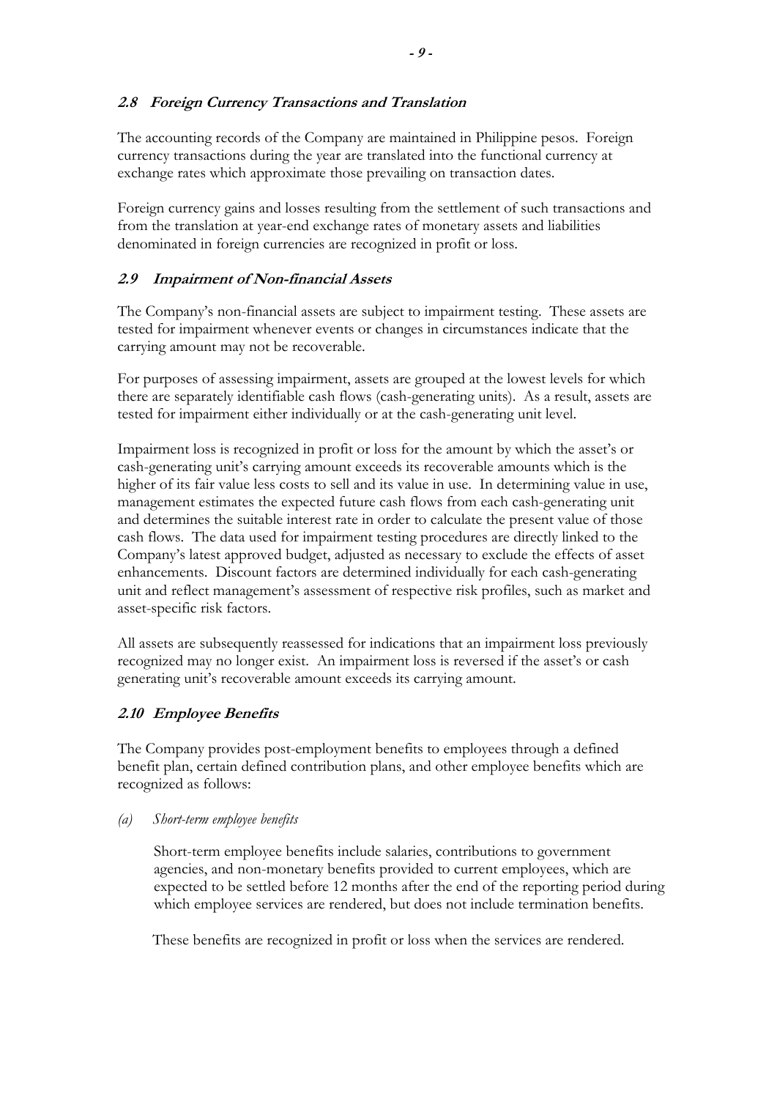## **2.8 Foreign Currency Transactions and Translation**

The accounting records of the Company are maintained in Philippine pesos. Foreign currency transactions during the year are translated into the functional currency at exchange rates which approximate those prevailing on transaction dates.

Foreign currency gains and losses resulting from the settlement of such transactions and from the translation at year-end exchange rates of monetary assets and liabilities denominated in foreign currencies are recognized in profit or loss.

## **2.9 Impairment of Non-financial Assets**

 The Company's non-financial assets are subject to impairment testing. These assets are tested for impairment whenever events or changes in circumstances indicate that the carrying amount may not be recoverable.

For purposes of assessing impairment, assets are grouped at the lowest levels for which there are separately identifiable cash flows (cash-generating units). As a result, assets are tested for impairment either individually or at the cash-generating unit level.

Impairment loss is recognized in profit or loss for the amount by which the asset's or cash-generating unit's carrying amount exceeds its recoverable amounts which is the higher of its fair value less costs to sell and its value in use. In determining value in use, management estimates the expected future cash flows from each cash-generating unit and determines the suitable interest rate in order to calculate the present value of those cash flows. The data used for impairment testing procedures are directly linked to the Company's latest approved budget, adjusted as necessary to exclude the effects of asset enhancements. Discount factors are determined individually for each cash-generating unit and reflect management's assessment of respective risk profiles, such as market and asset-specific risk factors.

All assets are subsequently reassessed for indications that an impairment loss previously recognized may no longer exist. An impairment loss is reversed if the asset's or cash generating unit's recoverable amount exceeds its carrying amount.

## **2.10 Employee Benefits**

The Company provides post-employment benefits to employees through a defined benefit plan, certain defined contribution plans, and other employee benefits which are recognized as follows:

## *(a) Short-term employee benefits*

Short-term employee benefits include salaries, contributions to government agencies, and non-monetary benefits provided to current employees, which are expected to be settled before 12 months after the end of the reporting period during which employee services are rendered, but does not include termination benefits.

These benefits are recognized in profit or loss when the services are rendered.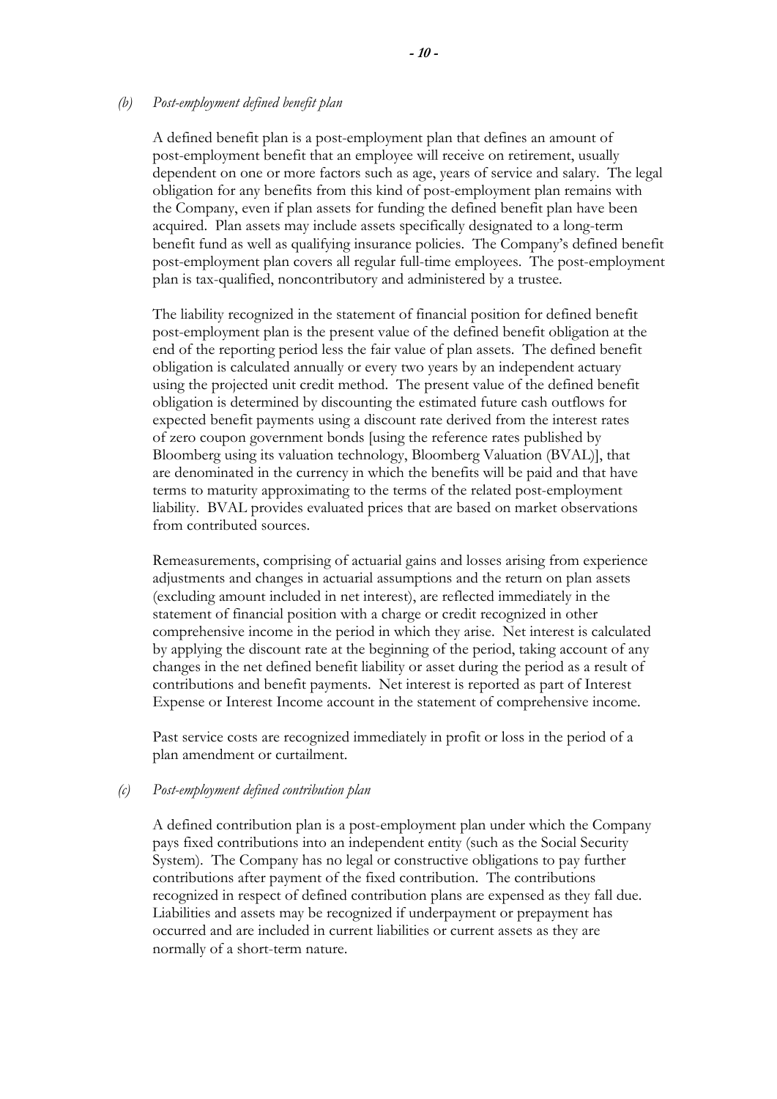#### *(b) Post-employment defined benefit plan*

A defined benefit plan is a post-employment plan that defines an amount of post-employment benefit that an employee will receive on retirement, usually dependent on one or more factors such as age, years of service and salary. The legal obligation for any benefits from this kind of post-employment plan remains with the Company, even if plan assets for funding the defined benefit plan have been acquired. Plan assets may include assets specifically designated to a long-term benefit fund as well as qualifying insurance policies. The Company's defined benefit post-employment plan covers all regular full-time employees. The post-employment plan is tax-qualified, noncontributory and administered by a trustee.

The liability recognized in the statement of financial position for defined benefit post-employment plan is the present value of the defined benefit obligation at the end of the reporting period less the fair value of plan assets. The defined benefit obligation is calculated annually or every two years by an independent actuary using the projected unit credit method. The present value of the defined benefit obligation is determined by discounting the estimated future cash outflows for expected benefit payments using a discount rate derived from the interest rates of zero coupon government bonds [using the reference rates published by Bloomberg using its valuation technology, Bloomberg Valuation (BVAL)], that are denominated in the currency in which the benefits will be paid and that have terms to maturity approximating to the terms of the related post-employment liability. BVAL provides evaluated prices that are based on market observations from contributed sources.

Remeasurements, comprising of actuarial gains and losses arising from experience adjustments and changes in actuarial assumptions and the return on plan assets (excluding amount included in net interest), are reflected immediately in the statement of financial position with a charge or credit recognized in other comprehensive income in the period in which they arise. Net interest is calculated by applying the discount rate at the beginning of the period, taking account of any changes in the net defined benefit liability or asset during the period as a result of contributions and benefit payments. Net interest is reported as part of Interest Expense or Interest Income account in the statement of comprehensive income.

Past service costs are recognized immediately in profit or loss in the period of a plan amendment or curtailment.

#### *(c) Post-employment defined contribution plan*

A defined contribution plan is a post-employment plan under which the Company pays fixed contributions into an independent entity (such as the Social Security System). The Company has no legal or constructive obligations to pay further contributions after payment of the fixed contribution. The contributions recognized in respect of defined contribution plans are expensed as they fall due. Liabilities and assets may be recognized if underpayment or prepayment has occurred and are included in current liabilities or current assets as they are normally of a short-term nature.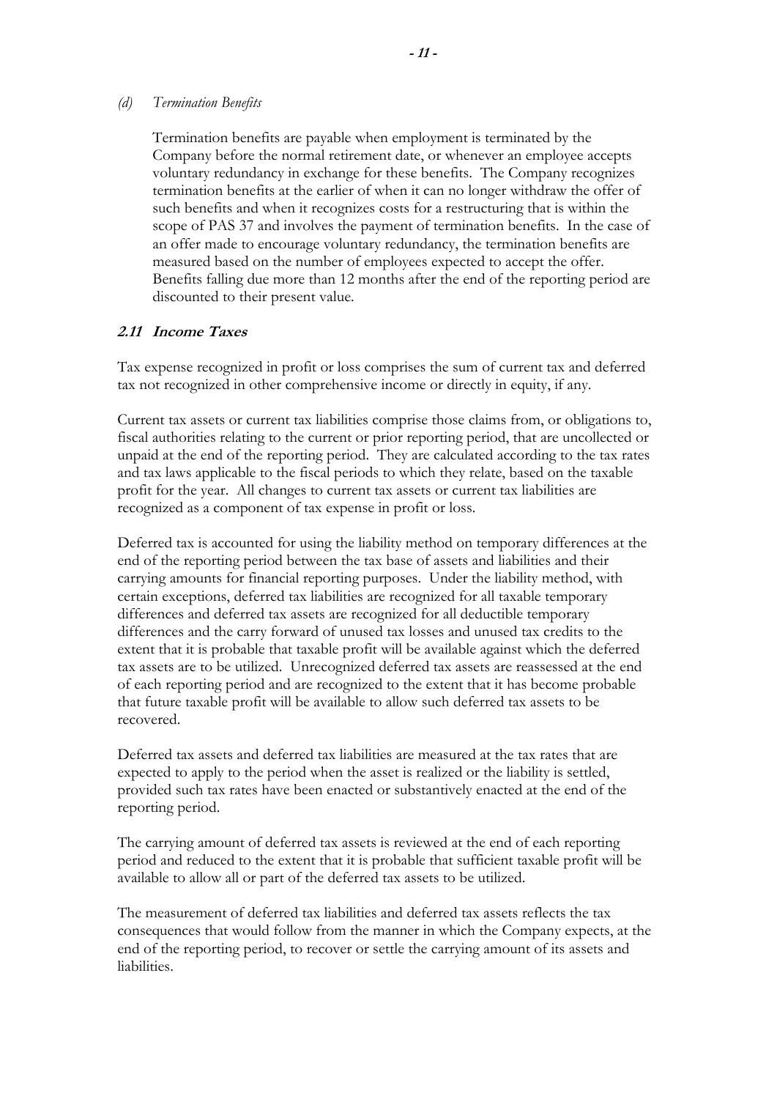#### *(d) Termination Benefits*

Termination benefits are payable when employment is terminated by the Company before the normal retirement date, or whenever an employee accepts voluntary redundancy in exchange for these benefits. The Company recognizes termination benefits at the earlier of when it can no longer withdraw the offer of such benefits and when it recognizes costs for a restructuring that is within the scope of PAS 37 and involves the payment of termination benefits. In the case of an offer made to encourage voluntary redundancy, the termination benefits are measured based on the number of employees expected to accept the offer. Benefits falling due more than 12 months after the end of the reporting period are discounted to their present value.

## **2.11 Income Taxes**

 Tax expense recognized in profit or loss comprises the sum of current tax and deferred tax not recognized in other comprehensive income or directly in equity, if any.

Current tax assets or current tax liabilities comprise those claims from, or obligations to, fiscal authorities relating to the current or prior reporting period, that are uncollected or unpaid at the end of the reporting period. They are calculated according to the tax rates and tax laws applicable to the fiscal periods to which they relate, based on the taxable profit for the year. All changes to current tax assets or current tax liabilities are recognized as a component of tax expense in profit or loss.

Deferred tax is accounted for using the liability method on temporary differences at the end of the reporting period between the tax base of assets and liabilities and their carrying amounts for financial reporting purposes. Under the liability method, with certain exceptions, deferred tax liabilities are recognized for all taxable temporary differences and deferred tax assets are recognized for all deductible temporary differences and the carry forward of unused tax losses and unused tax credits to the extent that it is probable that taxable profit will be available against which the deferred tax assets are to be utilized. Unrecognized deferred tax assets are reassessed at the end of each reporting period and are recognized to the extent that it has become probable that future taxable profit will be available to allow such deferred tax assets to be recovered.

Deferred tax assets and deferred tax liabilities are measured at the tax rates that are expected to apply to the period when the asset is realized or the liability is settled, provided such tax rates have been enacted or substantively enacted at the end of the reporting period.

The carrying amount of deferred tax assets is reviewed at the end of each reporting period and reduced to the extent that it is probable that sufficient taxable profit will be available to allow all or part of the deferred tax assets to be utilized.

The measurement of deferred tax liabilities and deferred tax assets reflects the tax consequences that would follow from the manner in which the Company expects, at the end of the reporting period, to recover or settle the carrying amount of its assets and liabilities.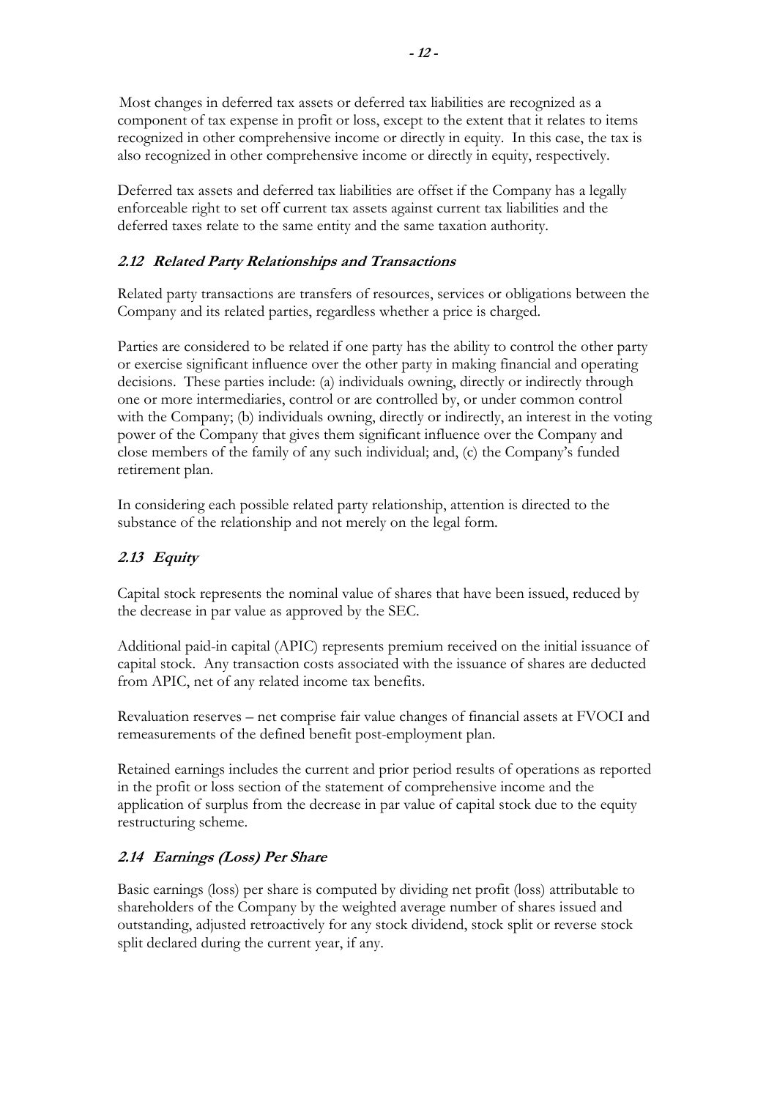Most changes in deferred tax assets or deferred tax liabilities are recognized as a component of tax expense in profit or loss, except to the extent that it relates to items recognized in other comprehensive income or directly in equity. In this case, the tax is also recognized in other comprehensive income or directly in equity, respectively.

Deferred tax assets and deferred tax liabilities are offset if the Company has a legally enforceable right to set off current tax assets against current tax liabilities and the deferred taxes relate to the same entity and the same taxation authority.

## **2.12 Related Party Relationships and Transactions**

Related party transactions are transfers of resources, services or obligations between the Company and its related parties, regardless whether a price is charged.

Parties are considered to be related if one party has the ability to control the other party or exercise significant influence over the other party in making financial and operating decisions. These parties include: (a) individuals owning, directly or indirectly through one or more intermediaries, control or are controlled by, or under common control with the Company; (b) individuals owning, directly or indirectly, an interest in the voting power of the Company that gives them significant influence over the Company and close members of the family of any such individual; and, (c) the Company's funded retirement plan.

In considering each possible related party relationship, attention is directed to the substance of the relationship and not merely on the legal form.

## **2.13 Equity**

Capital stock represents the nominal value of shares that have been issued, reduced by the decrease in par value as approved by the SEC.

Additional paid-in capital (APIC) represents premium received on the initial issuance of capital stock. Any transaction costs associated with the issuance of shares are deducted from APIC, net of any related income tax benefits.

Revaluation reserves – net comprise fair value changes of financial assets at FVOCI and remeasurements of the defined benefit post-employment plan.

Retained earnings includes the current and prior period results of operations as reported in the profit or loss section of the statement of comprehensive income and the application of surplus from the decrease in par value of capital stock due to the equity restructuring scheme.

## **2.14 Earnings (Loss) Per Share**

Basic earnings (loss) per share is computed by dividing net profit (loss) attributable to shareholders of the Company by the weighted average number of shares issued and outstanding, adjusted retroactively for any stock dividend, stock split or reverse stock split declared during the current year, if any.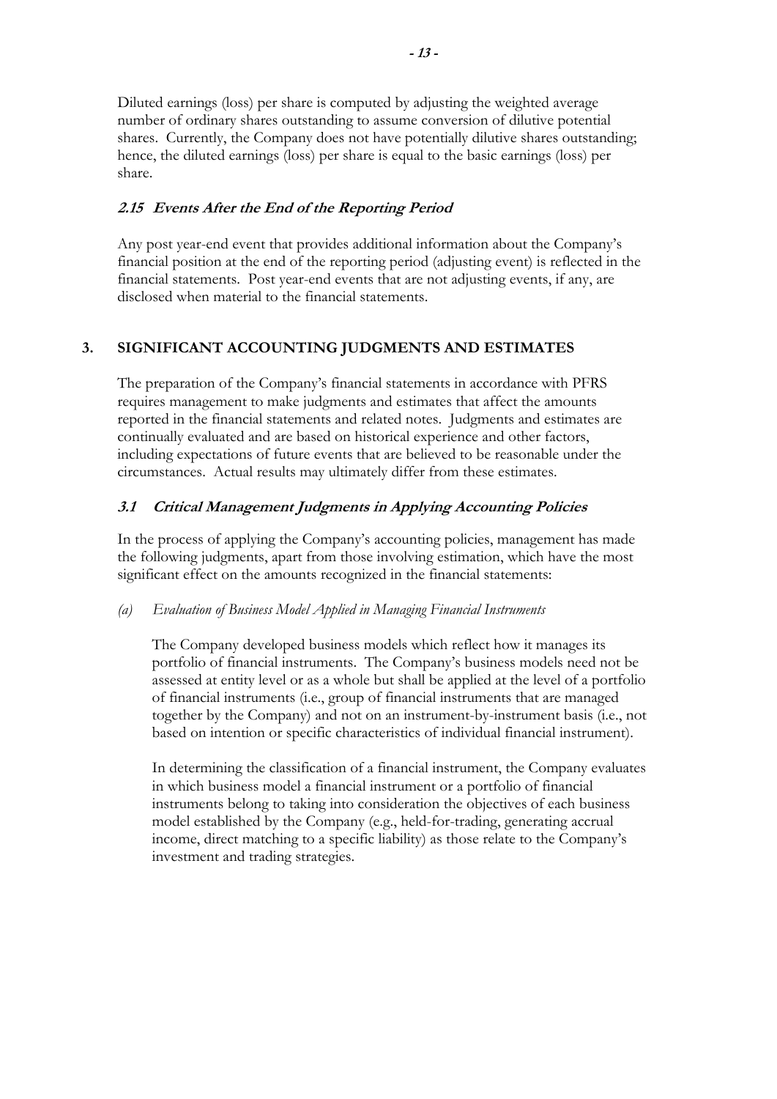Diluted earnings (loss) per share is computed by adjusting the weighted average number of ordinary shares outstanding to assume conversion of dilutive potential shares. Currently, the Company does not have potentially dilutive shares outstanding; hence, the diluted earnings (loss) per share is equal to the basic earnings (loss) per share.

## **2.15 Events After the End of the Reporting Period**

Any post year-end event that provides additional information about the Company's financial position at the end of the reporting period (adjusting event) is reflected in the financial statements. Post year-end events that are not adjusting events, if any, are disclosed when material to the financial statements.

## **3. SIGNIFICANT ACCOUNTING JUDGMENTS AND ESTIMATES**

 The preparation of the Company's financial statements in accordance with PFRS requires management to make judgments and estimates that affect the amounts reported in the financial statements and related notes. Judgments and estimates are continually evaluated and are based on historical experience and other factors, including expectations of future events that are believed to be reasonable under the circumstances. Actual results may ultimately differ from these estimates.

## **3.1 Critical Management Judgments in Applying Accounting Policies**

In the process of applying the Company's accounting policies, management has made the following judgments, apart from those involving estimation, which have the most significant effect on the amounts recognized in the financial statements:

## *(a) Evaluation of Business Model Applied in Managing Financial Instruments*

The Company developed business models which reflect how it manages its portfolio of financial instruments. The Company's business models need not be assessed at entity level or as a whole but shall be applied at the level of a portfolio of financial instruments (i.e., group of financial instruments that are managed together by the Company) and not on an instrument-by-instrument basis (i.e., not based on intention or specific characteristics of individual financial instrument).

In determining the classification of a financial instrument, the Company evaluates in which business model a financial instrument or a portfolio of financial instruments belong to taking into consideration the objectives of each business model established by the Company (e.g., held-for-trading, generating accrual income, direct matching to a specific liability) as those relate to the Company's investment and trading strategies.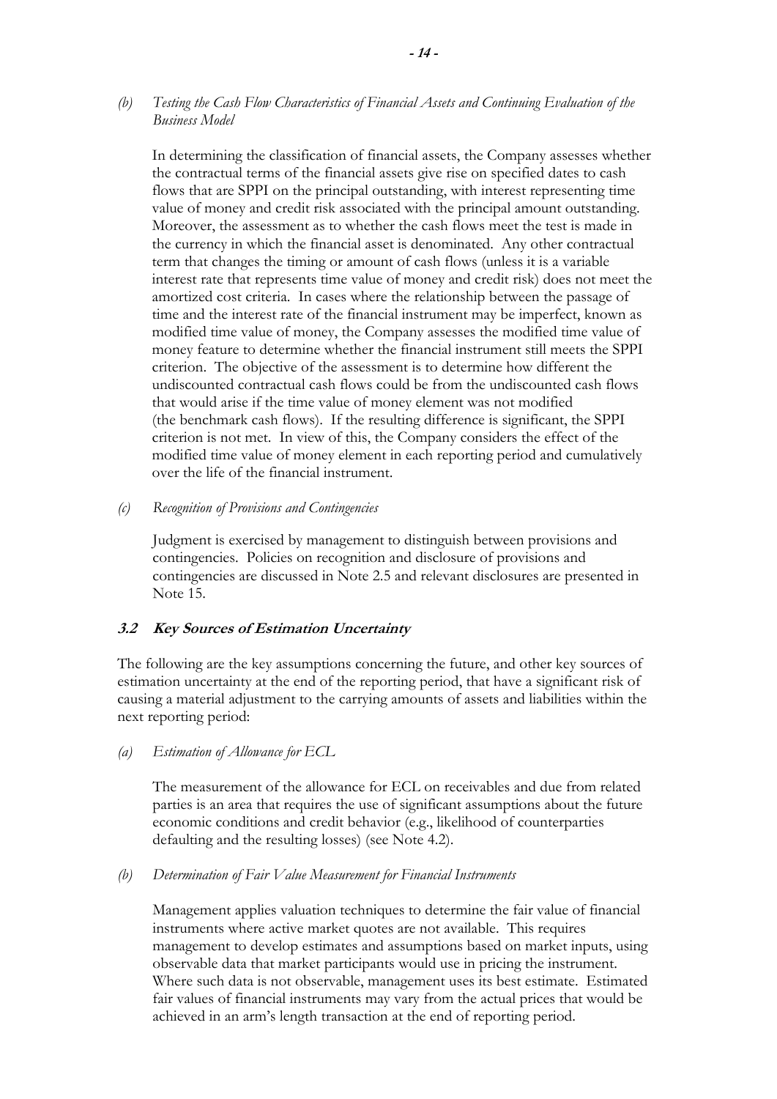*(b) Testing the Cash Flow Characteristics of Financial Assets and Continuing Evaluation of the Business Model* 

In determining the classification of financial assets, the Company assesses whether the contractual terms of the financial assets give rise on specified dates to cash flows that are SPPI on the principal outstanding, with interest representing time value of money and credit risk associated with the principal amount outstanding. Moreover, the assessment as to whether the cash flows meet the test is made in the currency in which the financial asset is denominated. Any other contractual term that changes the timing or amount of cash flows (unless it is a variable interest rate that represents time value of money and credit risk) does not meet the amortized cost criteria. In cases where the relationship between the passage of time and the interest rate of the financial instrument may be imperfect, known as modified time value of money, the Company assesses the modified time value of money feature to determine whether the financial instrument still meets the SPPI criterion. The objective of the assessment is to determine how different the undiscounted contractual cash flows could be from the undiscounted cash flows that would arise if the time value of money element was not modified (the benchmark cash flows). If the resulting difference is significant, the SPPI criterion is not met. In view of this, the Company considers the effect of the modified time value of money element in each reporting period and cumulatively over the life of the financial instrument.

*(c) Recognition of Provisions and Contingencies* 

Judgment is exercised by management to distinguish between provisions and contingencies. Policies on recognition and disclosure of provisions and contingencies are discussed in Note 2.5 and relevant disclosures are presented in Note 15.

#### **3.2 Key Sources of Estimation Uncertainty**

The following are the key assumptions concerning the future, and other key sources of estimation uncertainty at the end of the reporting period, that have a significant risk of causing a material adjustment to the carrying amounts of assets and liabilities within the next reporting period:

*(a) Estimation of Allowance for ECL* 

The measurement of the allowance for ECL on receivables and due from related parties is an area that requires the use of significant assumptions about the future economic conditions and credit behavior (e.g., likelihood of counterparties defaulting and the resulting losses) (see Note 4.2).

#### *(b) Determination of Fair Value Measurement for Financial Instruments*

Management applies valuation techniques to determine the fair value of financial instruments where active market quotes are not available. This requires management to develop estimates and assumptions based on market inputs, using observable data that market participants would use in pricing the instrument. Where such data is not observable, management uses its best estimate. Estimated fair values of financial instruments may vary from the actual prices that would be achieved in an arm's length transaction at the end of reporting period.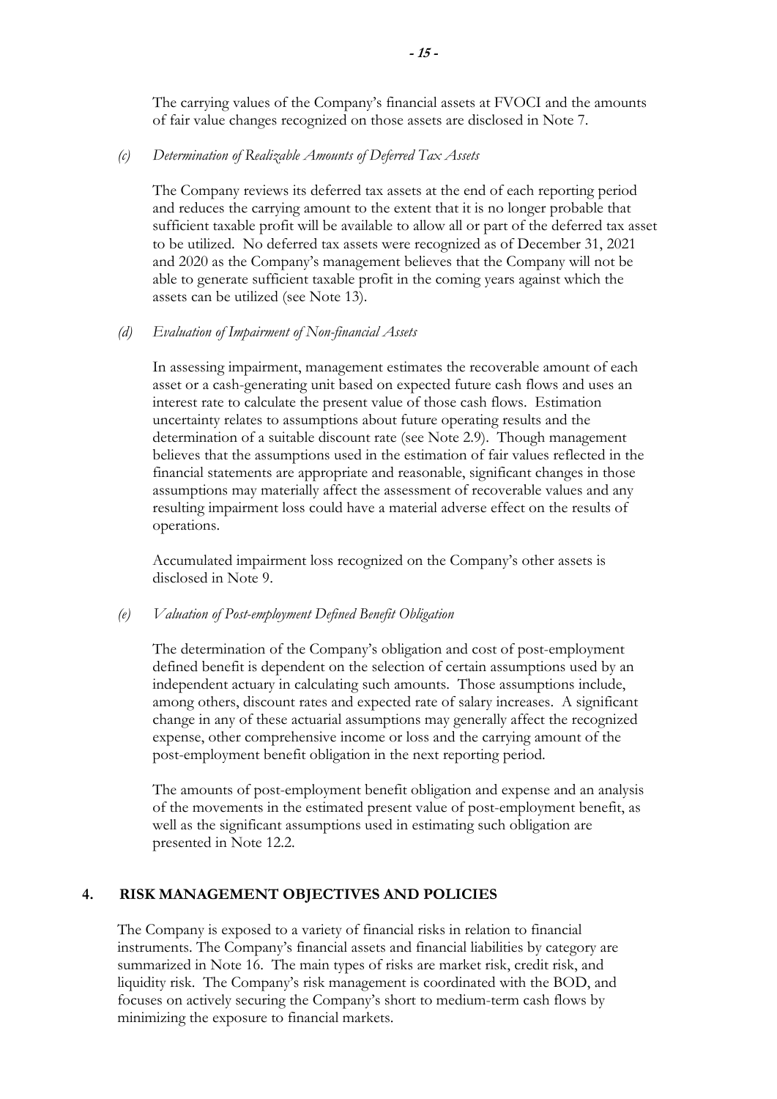The carrying values of the Company's financial assets at FVOCI and the amounts of fair value changes recognized on those assets are disclosed in Note 7.

#### *(c) Determination of Realizable Amounts of Deferred Tax Assets*

The Company reviews its deferred tax assets at the end of each reporting period and reduces the carrying amount to the extent that it is no longer probable that sufficient taxable profit will be available to allow all or part of the deferred tax asset to be utilized. No deferred tax assets were recognized as of December 31, 2021 and 2020 as the Company's management believes that the Company will not be able to generate sufficient taxable profit in the coming years against which the assets can be utilized (see Note 13).

#### *(d) Evaluation of Impairment of Non-financial Assets*

In assessing impairment, management estimates the recoverable amount of each asset or a cash-generating unit based on expected future cash flows and uses an interest rate to calculate the present value of those cash flows. Estimation uncertainty relates to assumptions about future operating results and the determination of a suitable discount rate (see Note 2.9). Though management believes that the assumptions used in the estimation of fair values reflected in the financial statements are appropriate and reasonable, significant changes in those assumptions may materially affect the assessment of recoverable values and any resulting impairment loss could have a material adverse effect on the results of operations.

Accumulated impairment loss recognized on the Company's other assets is disclosed in Note 9.

#### *(e) Valuation of Post-employment Defined Benefit Obligation*

The determination of the Company's obligation and cost of post-employment defined benefit is dependent on the selection of certain assumptions used by an independent actuary in calculating such amounts. Those assumptions include, among others, discount rates and expected rate of salary increases. A significant change in any of these actuarial assumptions may generally affect the recognized expense, other comprehensive income or loss and the carrying amount of the post-employment benefit obligation in the next reporting period.

The amounts of post-employment benefit obligation and expense and an analysis of the movements in the estimated present value of post-employment benefit, as well as the significant assumptions used in estimating such obligation are presented in Note 12.2.

## **4. RISK MANAGEMENT OBJECTIVES AND POLICIES**

The Company is exposed to a variety of financial risks in relation to financial instruments. The Company's financial assets and financial liabilities by category are summarized in Note 16. The main types of risks are market risk, credit risk, and liquidity risk. The Company's risk management is coordinated with the BOD, and focuses on actively securing the Company's short to medium-term cash flows by minimizing the exposure to financial markets.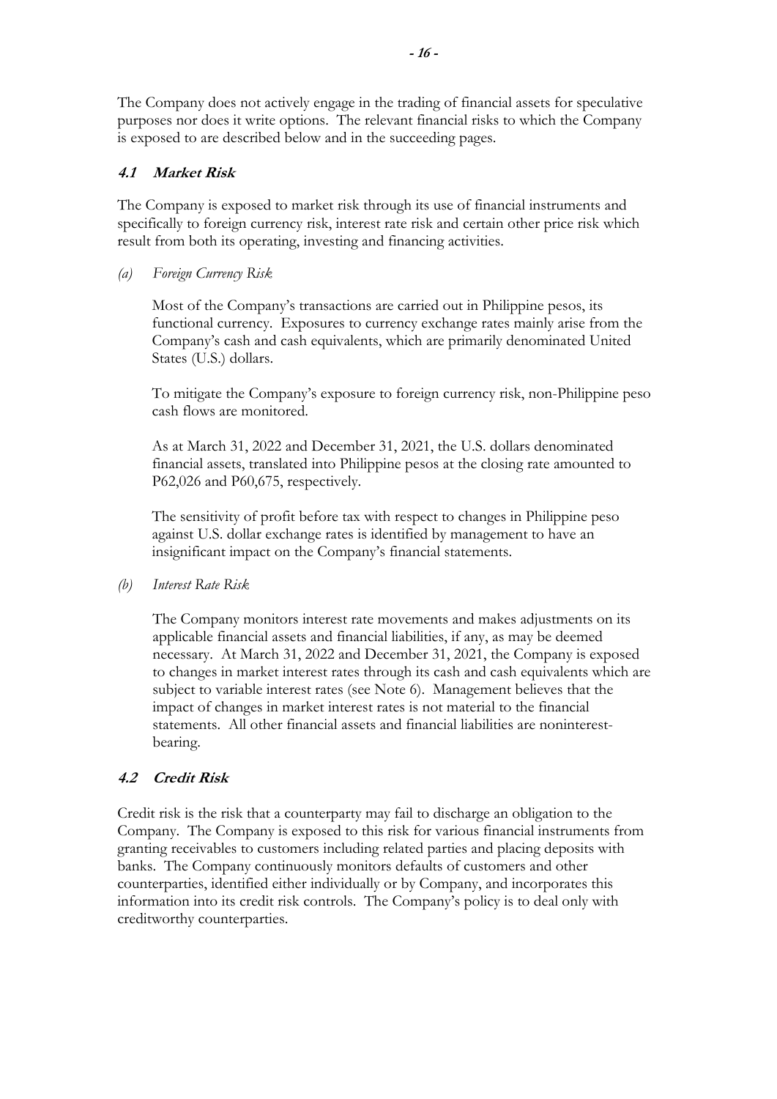The Company does not actively engage in the trading of financial assets for speculative purposes nor does it write options. The relevant financial risks to which the Company is exposed to are described below and in the succeeding pages.

## **4.1 Market Risk**

The Company is exposed to market risk through its use of financial instruments and specifically to foreign currency risk, interest rate risk and certain other price risk which result from both its operating, investing and financing activities.

*(a) Foreign Currency Risk* 

Most of the Company's transactions are carried out in Philippine pesos, its functional currency. Exposures to currency exchange rates mainly arise from the Company's cash and cash equivalents, which are primarily denominated United States (U.S.) dollars.

To mitigate the Company's exposure to foreign currency risk, non-Philippine peso cash flows are monitored.

As at March 31, 2022 and December 31, 2021, the U.S. dollars denominated financial assets, translated into Philippine pesos at the closing rate amounted to P62,026 and P60,675, respectively.

The sensitivity of profit before tax with respect to changes in Philippine peso against U.S. dollar exchange rates is identified by management to have an insignificant impact on the Company's financial statements.

*(b) Interest Rate Risk* 

The Company monitors interest rate movements and makes adjustments on its applicable financial assets and financial liabilities, if any, as may be deemed necessary. At March 31, 2022 and December 31, 2021, the Company is exposed to changes in market interest rates through its cash and cash equivalents which are subject to variable interest rates (see Note 6). Management believes that the impact of changes in market interest rates is not material to the financial statements. All other financial assets and financial liabilities are noninterestbearing.

## **4.2 Credit Risk**

 Credit risk is the risk that a counterparty may fail to discharge an obligation to the Company. The Company is exposed to this risk for various financial instruments from granting receivables to customers including related parties and placing deposits with banks. The Company continuously monitors defaults of customers and other counterparties, identified either individually or by Company, and incorporates this information into its credit risk controls. The Company's policy is to deal only with creditworthy counterparties.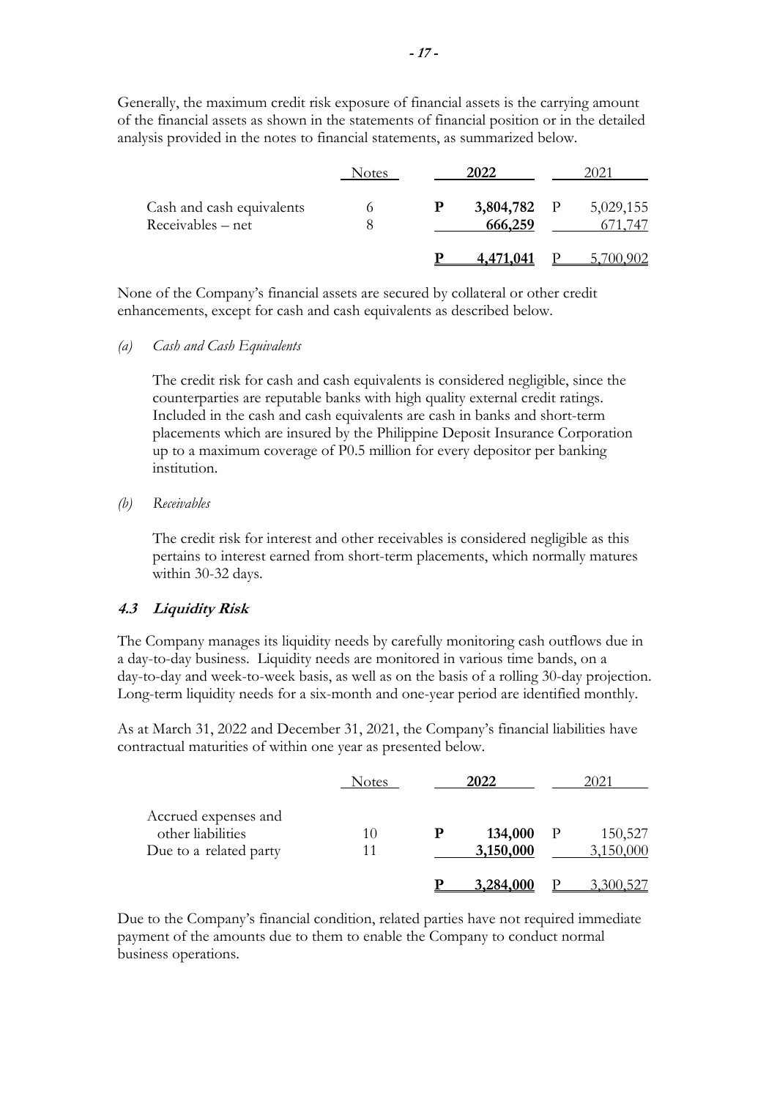Generally, the maximum credit risk exposure of financial assets is the carrying amount of the financial assets as shown in the statements of financial position or in the detailed analysis provided in the notes to financial statements, as summarized below.

|                                                | Notes |   | 2022                   |           |
|------------------------------------------------|-------|---|------------------------|-----------|
| Cash and cash equivalents<br>Receivables – net |       | D | 3,804,782 P<br>666,259 | 5,029,155 |
|                                                |       |   |                        |           |

None of the Company's financial assets are secured by collateral or other credit enhancements, except for cash and cash equivalents as described below.

#### *(a) Cash and Cash Equivalents*

The credit risk for cash and cash equivalents is considered negligible, since the counterparties are reputable banks with high quality external credit ratings. Included in the cash and cash equivalents are cash in banks and short-term placements which are insured by the Philippine Deposit Insurance Corporation up to a maximum coverage of P0.5 million for every depositor per banking institution.

#### *(b) Receivables*

The credit risk for interest and other receivables is considered negligible as this pertains to interest earned from short-term placements, which normally matures within 30-32 days.

#### **4.3 Liquidity Risk**

The Company manages its liquidity needs by carefully monitoring cash outflows due in a day-to-day business. Liquidity needs are monitored in various time bands, on a day-to-day and week-to-week basis, as well as on the basis of a rolling 30-day projection. Long-term liquidity needs for a six-month and one-year period are identified monthly.

As at March 31, 2022 and December 31, 2021, the Company's financial liabilities have contractual maturities of within one year as presented below.

|                                                                     | Notes | 2022                 |     | 2021                 |
|---------------------------------------------------------------------|-------|----------------------|-----|----------------------|
| Accrued expenses and<br>other liabilities<br>Due to a related party | 10    | 134,000<br>3,150,000 | - P | 150,527<br>3,150,000 |
|                                                                     |       | 3,284,000            |     | 3.300.527            |

Due to the Company's financial condition, related parties have not required immediate payment of the amounts due to them to enable the Company to conduct normal business operations.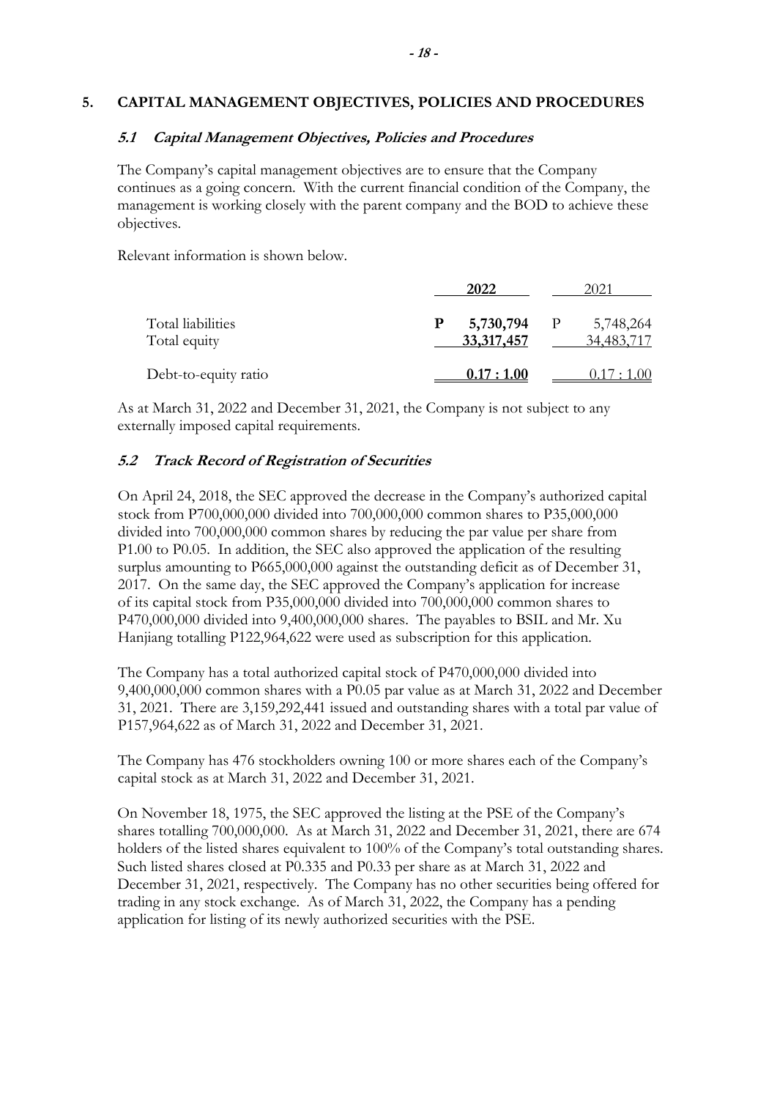#### **5. CAPITAL MANAGEMENT OBJECTIVES, POLICIES AND PROCEDURES**

#### **5.1 Capital Management Objectives, Policies and Procedures**

The Company's capital management objectives are to ensure that the Company continues as a going concern. With the current financial condition of the Company, the management is working closely with the parent company and the BOD to achieve these objectives.

Relevant information is shown below.

|                                   | 2022                         |              |                         |
|-----------------------------------|------------------------------|--------------|-------------------------|
| Total liabilities<br>Total equity | 5,730,794<br>P<br>33,317,457 | $\mathbf{P}$ | 5,748,264<br>34,483,717 |
| Debt-to-equity ratio              | 0.17:1.00                    |              | 0.17:1.00               |

As at March 31, 2022 and December 31, 2021, the Company is not subject to any externally imposed capital requirements.

#### **5.2 Track Record of Registration of Securities**

On April 24, 2018, the SEC approved the decrease in the Company's authorized capital stock from P700,000,000 divided into 700,000,000 common shares to P35,000,000 divided into 700,000,000 common shares by reducing the par value per share from P1.00 to P0.05. In addition, the SEC also approved the application of the resulting surplus amounting to P665,000,000 against the outstanding deficit as of December 31, 2017. On the same day, the SEC approved the Company's application for increase of its capital stock from P35,000,000 divided into 700,000,000 common shares to P470,000,000 divided into 9,400,000,000 shares. The payables to BSIL and Mr. Xu Hanjiang totalling P122,964,622 were used as subscription for this application.

The Company has a total authorized capital stock of P470,000,000 divided into 9,400,000,000 common shares with a P0.05 par value as at March 31, 2022 and December 31, 2021. There are 3,159,292,441 issued and outstanding shares with a total par value of P157,964,622 as of March 31, 2022 and December 31, 2021.

The Company has 476 stockholders owning 100 or more shares each of the Company's capital stock as at March 31, 2022 and December 31, 2021.

On November 18, 1975, the SEC approved the listing at the PSE of the Company's shares totalling 700,000,000. As at March 31, 2022 and December 31, 2021, there are 674 holders of the listed shares equivalent to 100% of the Company's total outstanding shares. Such listed shares closed at P0.335 and P0.33 per share as at March 31, 2022 and December 31, 2021, respectively. The Company has no other securities being offered for trading in any stock exchange. As of March 31, 2022, the Company has a pending application for listing of its newly authorized securities with the PSE.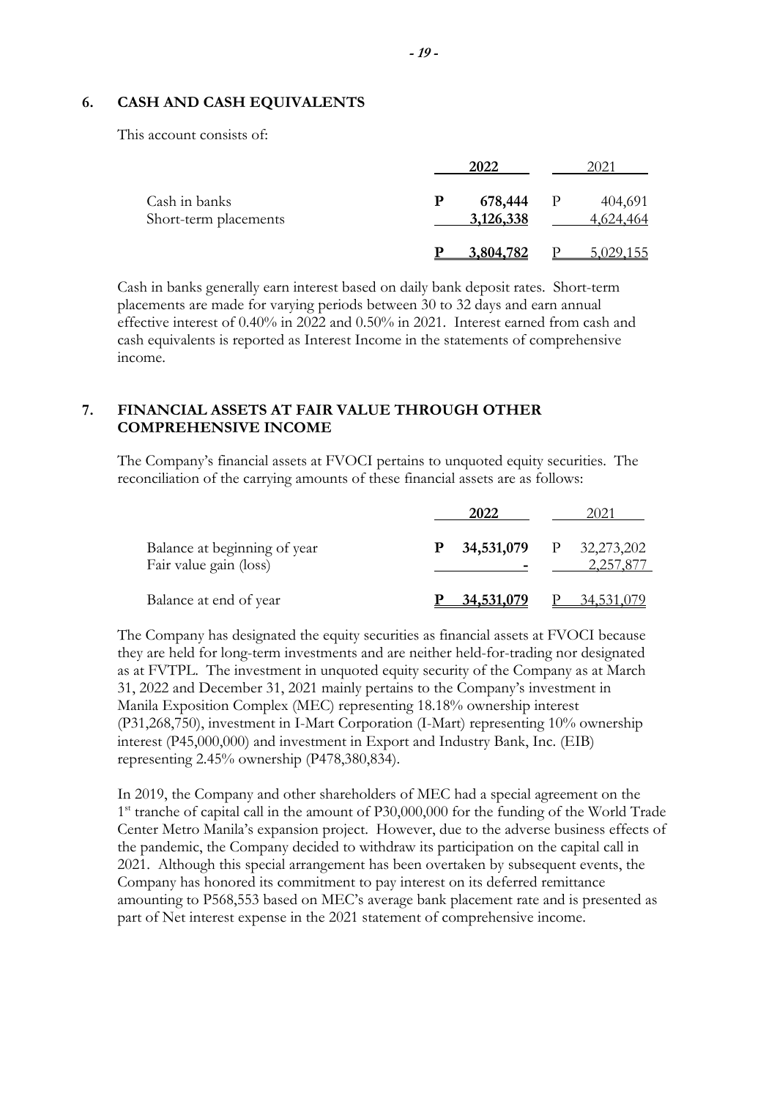#### **6. CASH AND CASH EQUIVALENTS**

This account consists of:

|                                        | 2022                      | 2021                      |
|----------------------------------------|---------------------------|---------------------------|
| Cash in banks<br>Short-term placements | 678,444<br>P<br>3,126,338 | 404,691<br>P<br>4,624,464 |
|                                        | 3,804,782                 | 5,029,155                 |

Cash in banks generally earn interest based on daily bank deposit rates. Short-term placements are made for varying periods between 30 to 32 days and earn annual effective interest of 0.40% in 2022 and 0.50% in 2021. Interest earned from cash and cash equivalents is reported as Interest Income in the statements of comprehensive income.

## **7. FINANCIAL ASSETS AT FAIR VALUE THROUGH OTHER COMPREHENSIVE INCOME**

The Company's financial assets at FVOCI pertains to unquoted equity securities. The reconciliation of the carrying amounts of these financial assets are as follows:

|                                                        |   | 2022       | 2021             |  |
|--------------------------------------------------------|---|------------|------------------|--|
| Balance at beginning of year<br>Fair value gain (loss) | P | 34,531,079 | $P = 32,273,202$ |  |
| Balance at end of year                                 |   |            | 34.53.           |  |

The Company has designated the equity securities as financial assets at FVOCI because they are held for long-term investments and are neither held-for-trading nor designated as at FVTPL. The investment in unquoted equity security of the Company as at March 31, 2022 and December 31, 2021 mainly pertains to the Company's investment in Manila Exposition Complex (MEC) representing 18.18% ownership interest (P31,268,750), investment in I-Mart Corporation (I-Mart) representing 10% ownership interest (P45,000,000) and investment in Export and Industry Bank, Inc. (EIB) representing 2.45% ownership (P478,380,834).

In 2019, the Company and other shareholders of MEC had a special agreement on the 1<sup>st</sup> tranche of capital call in the amount of P30,000,000 for the funding of the World Trade Center Metro Manila's expansion project. However, due to the adverse business effects of the pandemic, the Company decided to withdraw its participation on the capital call in 2021. Although this special arrangement has been overtaken by subsequent events, the Company has honored its commitment to pay interest on its deferred remittance amounting to P568,553 based on MEC's average bank placement rate and is presented as part of Net interest expense in the 2021 statement of comprehensive income.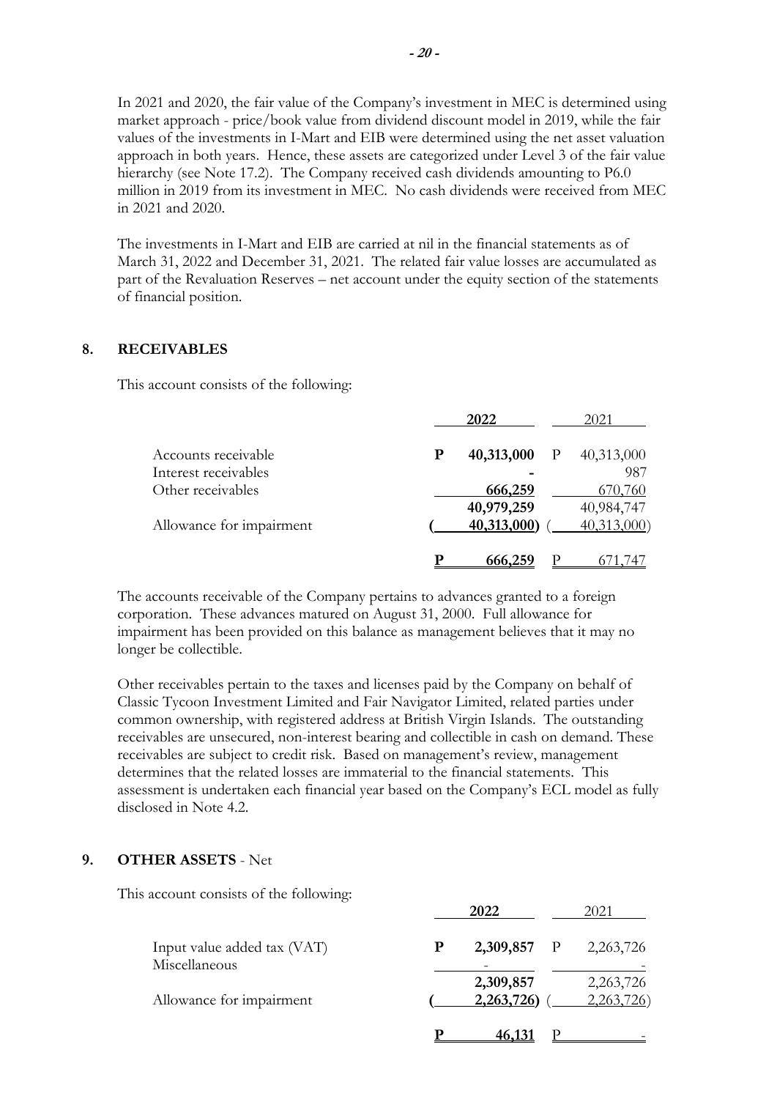In 2021 and 2020, the fair value of the Company's investment in MEC is determined using market approach - price/book value from dividend discount model in 2019, while the fair values of the investments in I-Mart and EIB were determined using the net asset valuation approach in both years. Hence, these assets are categorized under Level 3 of the fair value hierarchy (see Note 17.2). The Company received cash dividends amounting to P6.0 million in 2019 from its investment in MEC. No cash dividends were received from MEC in 2021 and 2020.

The investments in I-Mart and EIB are carried at nil in the financial statements as of March 31, 2022 and December 31, 2021. The related fair value losses are accumulated as part of the Revaluation Reserves – net account under the equity section of the statements of financial position.

#### **8. RECEIVABLES**

This account consists of the following:

|                          |           | 2022        | 2021       |
|--------------------------|-----------|-------------|------------|
| Accounts receivable      | ${\bf P}$ | 40,313,000  | 40,313,000 |
| Interest receivables     |           |             | 987        |
| Other receivables        |           | 666,259     | 670,760    |
|                          |           | 40,979,259  | 40,984,747 |
| Allowance for impairment |           | 40,313,000) | 40,313,000 |
|                          | р         | 666.25      |            |

The accounts receivable of the Company pertains to advances granted to a foreign corporation. These advances matured on August 31, 2000. Full allowance for impairment has been provided on this balance as management believes that it may no longer be collectible.

Other receivables pertain to the taxes and licenses paid by the Company on behalf of Classic Tycoon Investment Limited and Fair Navigator Limited, related parties under common ownership, with registered address at British Virgin Islands. The outstanding receivables are unsecured, non-interest bearing and collectible in cash on demand. These receivables are subject to credit risk. Based on management's review, management determines that the related losses are immaterial to the financial statements. This assessment is undertaken each financial year based on the Company's ECL model as fully disclosed in Note 4.2.

## **9. OTHER ASSETS** - Net

This account consists of the following:

|                                              |   | 2022          | 2021       |
|----------------------------------------------|---|---------------|------------|
| Input value added tax (VAT)<br>Miscellaneous | Р | 2,309,857 P   | 2,263,726  |
|                                              |   | 2,309,857     | 2,263,726  |
| Allowance for impairment                     |   | 2,263,726)    | 2,263,726) |
|                                              |   | <u>46,131</u> |            |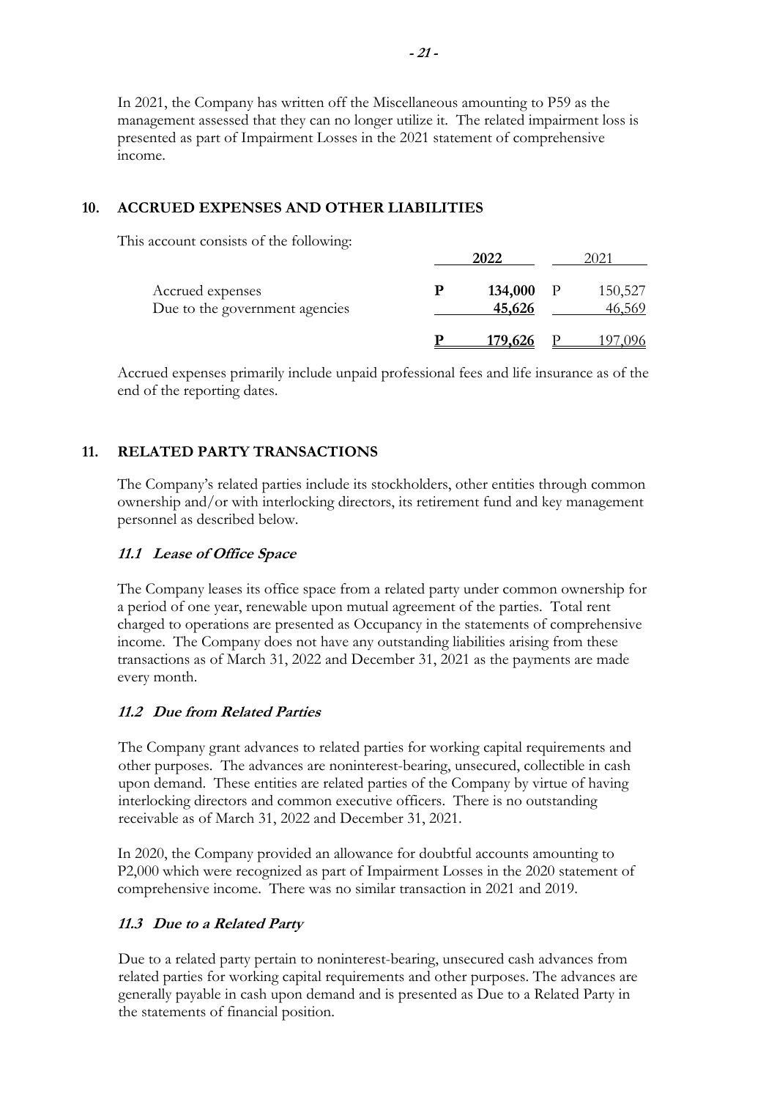In 2021, the Company has written off the Miscellaneous amounting to P59 as the management assessed that they can no longer utilize it. The related impairment loss is presented as part of Impairment Losses in the 2021 statement of comprehensive income.

## **10. ACCRUED EXPENSES AND OTHER LIABILITIES**

This account consists of the following:

|                                                    |   | 2022              |     |                   |
|----------------------------------------------------|---|-------------------|-----|-------------------|
| Accrued expenses<br>Due to the government agencies | р | 134,000<br>45,626 | - P | 150,527<br>46,569 |
|                                                    |   | <u>179,626</u>    |     | .096              |

Accrued expenses primarily include unpaid professional fees and life insurance as of the end of the reporting dates.

## **11. RELATED PARTY TRANSACTIONS**

The Company's related parties include its stockholders, other entities through common ownership and/or with interlocking directors, its retirement fund and key management personnel as described below.

## **11.1 Lease of Office Space**

The Company leases its office space from a related party under common ownership for a period of one year, renewable upon mutual agreement of the parties. Total rent charged to operations are presented as Occupancy in the statements of comprehensive income. The Company does not have any outstanding liabilities arising from these transactions as of March 31, 2022 and December 31, 2021 as the payments are made every month.

## **11.2 Due from Related Parties**

The Company grant advances to related parties for working capital requirements and other purposes. The advances are noninterest-bearing, unsecured, collectible in cash upon demand. These entities are related parties of the Company by virtue of having interlocking directors and common executive officers. There is no outstanding receivable as of March 31, 2022 and December 31, 2021.

In 2020, the Company provided an allowance for doubtful accounts amounting to P2,000 which were recognized as part of Impairment Losses in the 2020 statement of comprehensive income. There was no similar transaction in 2021 and 2019.

## **11.3 Due to a Related Party**

Due to a related party pertain to noninterest-bearing, unsecured cash advances from related parties for working capital requirements and other purposes. The advances are generally payable in cash upon demand and is presented as Due to a Related Party in the statements of financial position.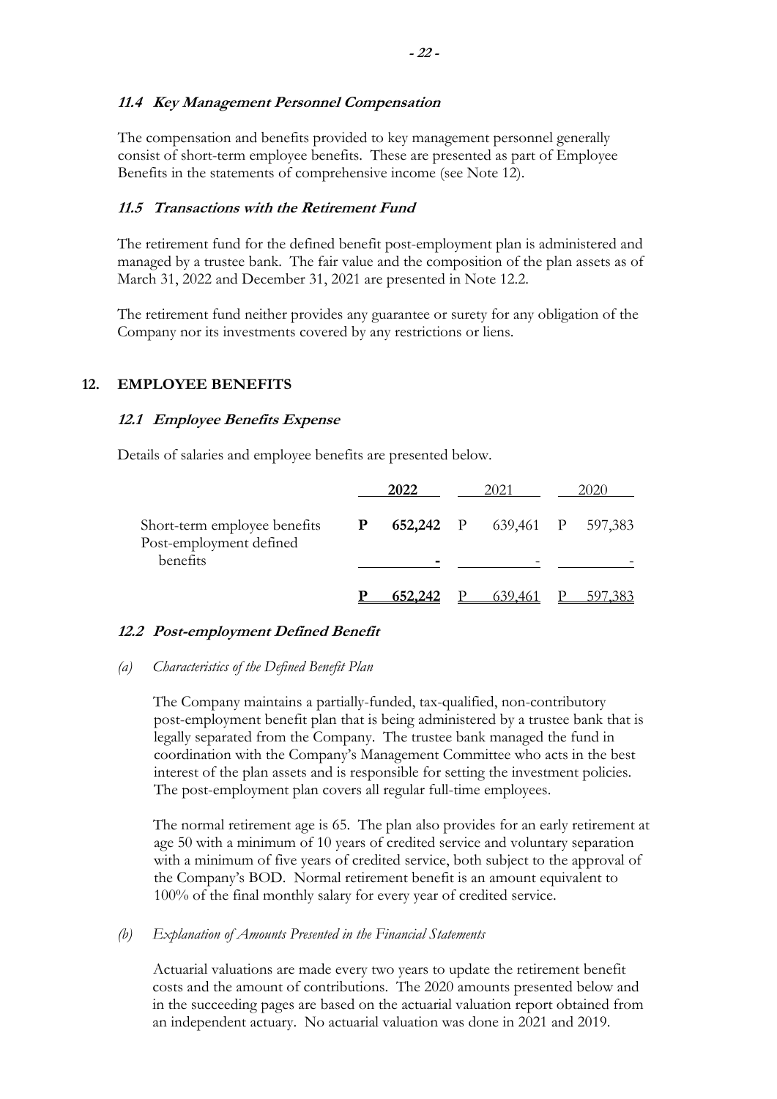The compensation and benefits provided to key management personnel generally consist of short-term employee benefits. These are presented as part of Employee Benefits in the statements of comprehensive income (see Note 12).

## **11.5 Transactions with the Retirement Fund**

The retirement fund for the defined benefit post-employment plan is administered and managed by a trustee bank. The fair value and the composition of the plan assets as of March 31, 2022 and December 31, 2021 are presented in Note 12.2.

The retirement fund neither provides any guarantee or surety for any obligation of the Company nor its investments covered by any restrictions or liens.

## **12. EMPLOYEE BENEFITS**

## **12.1 Employee Benefits Expense**

Details of salaries and employee benefits are presented below.

|                                                                     |              | 2022    | 2021                        | 2020 |     |  |
|---------------------------------------------------------------------|--------------|---------|-----------------------------|------|-----|--|
| Short-term employee benefits<br>Post-employment defined<br>benefits | $\mathbf{P}$ |         | 652,242 P 639,461 P 597,383 |      |     |  |
|                                                                     |              |         |                             |      |     |  |
|                                                                     |              | 652,242 | 639,461                     |      | 597 |  |

## **12.2 Post-employment Defined Benefit**

## *(a) Characteristics of the Defined Benefit Plan*

The Company maintains a partially-funded, tax-qualified, non-contributory post-employment benefit plan that is being administered by a trustee bank that is legally separated from the Company. The trustee bank managed the fund in coordination with the Company's Management Committee who acts in the best interest of the plan assets and is responsible for setting the investment policies. The post-employment plan covers all regular full-time employees.

The normal retirement age is 65. The plan also provides for an early retirement at age 50 with a minimum of 10 years of credited service and voluntary separation with a minimum of five years of credited service, both subject to the approval of the Company's BOD. Normal retirement benefit is an amount equivalent to 100% of the final monthly salary for every year of credited service.

## *(b) Explanation of Amounts Presented in the Financial Statements*

Actuarial valuations are made every two years to update the retirement benefit costs and the amount of contributions. The 2020 amounts presented below and in the succeeding pages are based on the actuarial valuation report obtained from an independent actuary. No actuarial valuation was done in 2021 and 2019.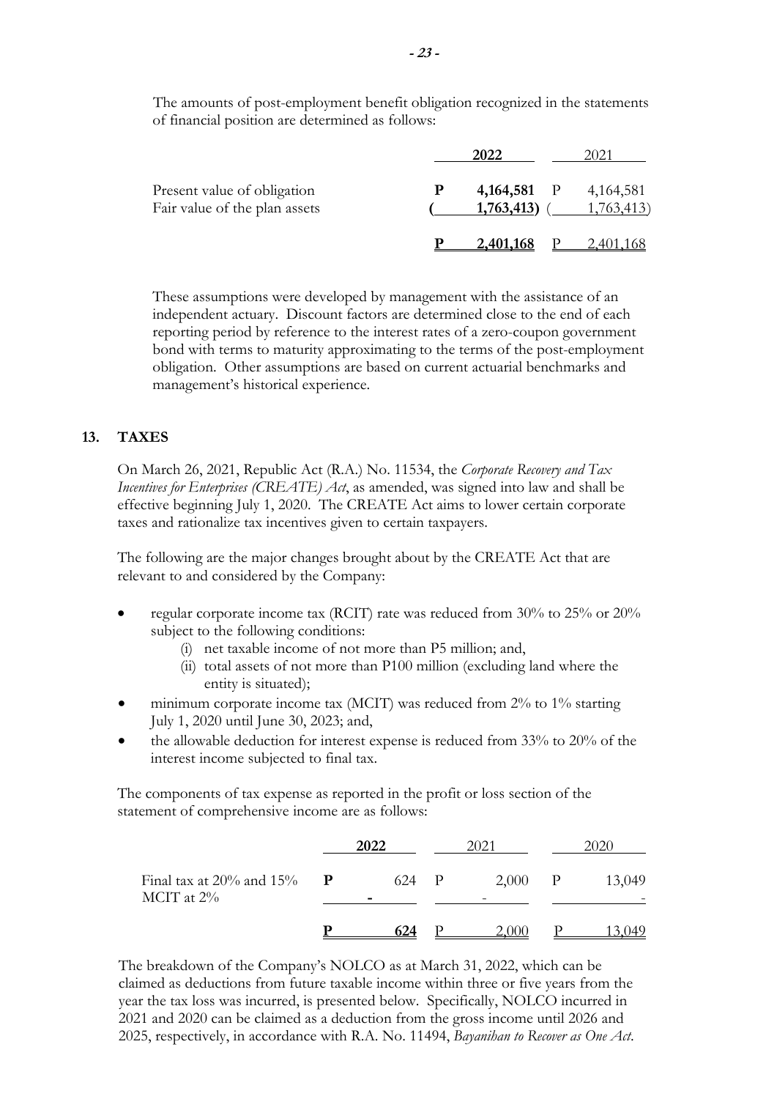The amounts of post-employment benefit obligation recognized in the statements of financial position are determined as follows:

|                                                              |   |                                    | 2021      |
|--------------------------------------------------------------|---|------------------------------------|-----------|
| Present value of obligation<br>Fair value of the plan assets | P | 4,164,581 P 4,164,581<br>1,763,413 | 1,763,413 |
|                                                              |   | 2.401.168                          | 40 L      |

These assumptions were developed by management with the assistance of an independent actuary. Discount factors are determined close to the end of each reporting period by reference to the interest rates of a zero-coupon government bond with terms to maturity approximating to the terms of the post-employment obligation. Other assumptions are based on current actuarial benchmarks and management's historical experience.

## **13. TAXES**

On March 26, 2021, Republic Act (R.A.) No. 11534, the *Corporate Recovery and Tax Incentives for Enterprises (CREATE) Act*, as amended, was signed into law and shall be effective beginning July 1, 2020. The CREATE Act aims to lower certain corporate taxes and rationalize tax incentives given to certain taxpayers.

The following are the major changes brought about by the CREATE Act that are relevant to and considered by the Company:

- regular corporate income tax (RCIT) rate was reduced from 30% to 25% or 20% subject to the following conditions:
	- (i) net taxable income of not more than P5 million; and,
	- (ii) total assets of not more than P100 million (excluding land where the entity is situated);
- minimum corporate income tax (MCIT) was reduced from 2% to 1% starting July 1, 2020 until June 30, 2023; and,
- the allowable deduction for interest expense is reduced from 33% to 20% of the interest income subjected to final tax.

The components of tax expense as reported in the profit or loss section of the statement of comprehensive income are as follows:

|                                              |             | 2022  | 2021  |              |        |  |
|----------------------------------------------|-------------|-------|-------|--------------|--------|--|
| Final tax at $20\%$ and $15\%$<br>MCIT at 2% | $\mathbf P$ | 624 P | 2,000 | $\mathbf{P}$ | 13,049 |  |
|                                              |             |       |       |              |        |  |

The breakdown of the Company's NOLCO as at March 31, 2022, which can be claimed as deductions from future taxable income within three or five years from the year the tax loss was incurred, is presented below. Specifically, NOLCO incurred in 2021 and 2020 can be claimed as a deduction from the gross income until 2026 and 2025, respectively, in accordance with R.A. No. 11494, *Bayanihan to Recover as One Act*.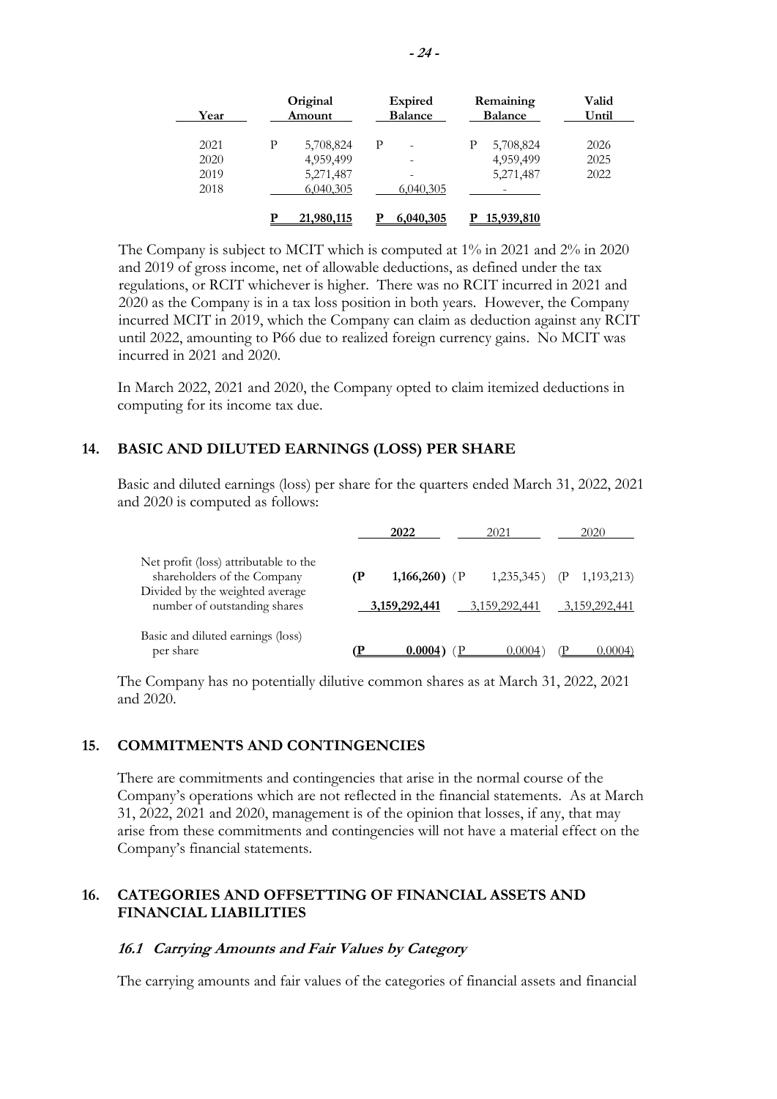| Year                         |   | Original<br>Amount                               |   | <b>Expired</b><br><b>Balance</b> |   | Remaining<br><b>Balance</b>         | Valid<br>Until       |  |
|------------------------------|---|--------------------------------------------------|---|----------------------------------|---|-------------------------------------|----------------------|--|
| 2021<br>2020<br>2019<br>2018 | Ρ | 5,708,824<br>4,959,499<br>5,271,487<br>6,040,305 | P | -<br>-<br>6,040,305              |   | 5,708,824<br>4,959,499<br>5,271,487 | 2026<br>2025<br>2022 |  |
|                              |   | 21,980,115                                       |   | 6,040,305                        | р | 15,939,810                          |                      |  |

The Company is subject to MCIT which is computed at 1% in 2021 and 2% in 2020 and 2019 of gross income, net of allowable deductions, as defined under the tax regulations, or RCIT whichever is higher. There was no RCIT incurred in 2021 and 2020 as the Company is in a tax loss position in both years. However, the Company incurred MCIT in 2019, which the Company can claim as deduction against any RCIT until 2022, amounting to P66 due to realized foreign currency gains. No MCIT was incurred in 2021 and 2020.

In March 2022, 2021 and 2020, the Company opted to claim itemized deductions in computing for its income tax due.

## **14. BASIC AND DILUTED EARNINGS (LOSS) PER SHARE**

Basic and diluted earnings (loss) per share for the quarters ended March 31, 2022, 2021 and 2020 is computed as follows:

|                                                                                                         | 2022          | 2021          | 2020                   |
|---------------------------------------------------------------------------------------------------------|---------------|---------------|------------------------|
| Net profit (loss) attributable to the<br>shareholders of the Company<br>Divided by the weighted average | 1,166,260) (P | 1,235,345)    | 1, 193, 213)<br>$\Phi$ |
| number of outstanding shares                                                                            | 3,159,292,441 | 3,159,292,441 | 3.159.292.441          |
| Basic and diluted earnings (loss)<br>per share                                                          | 0.0004        | 0.0004        | 0.0004`                |

The Company has no potentially dilutive common shares as at March 31, 2022, 2021 and 2020.

#### **15. COMMITMENTS AND CONTINGENCIES**

There are commitments and contingencies that arise in the normal course of the Company's operations which are not reflected in the financial statements. As at March 31, 2022, 2021 and 2020, management is of the opinion that losses, if any, that may arise from these commitments and contingencies will not have a material effect on the Company's financial statements.

## **16. CATEGORIES AND OFFSETTING OF FINANCIAL ASSETS AND FINANCIAL LIABILITIES**

#### **16.1 Carrying Amounts and Fair Values by Category**

The carrying amounts and fair values of the categories of financial assets and financial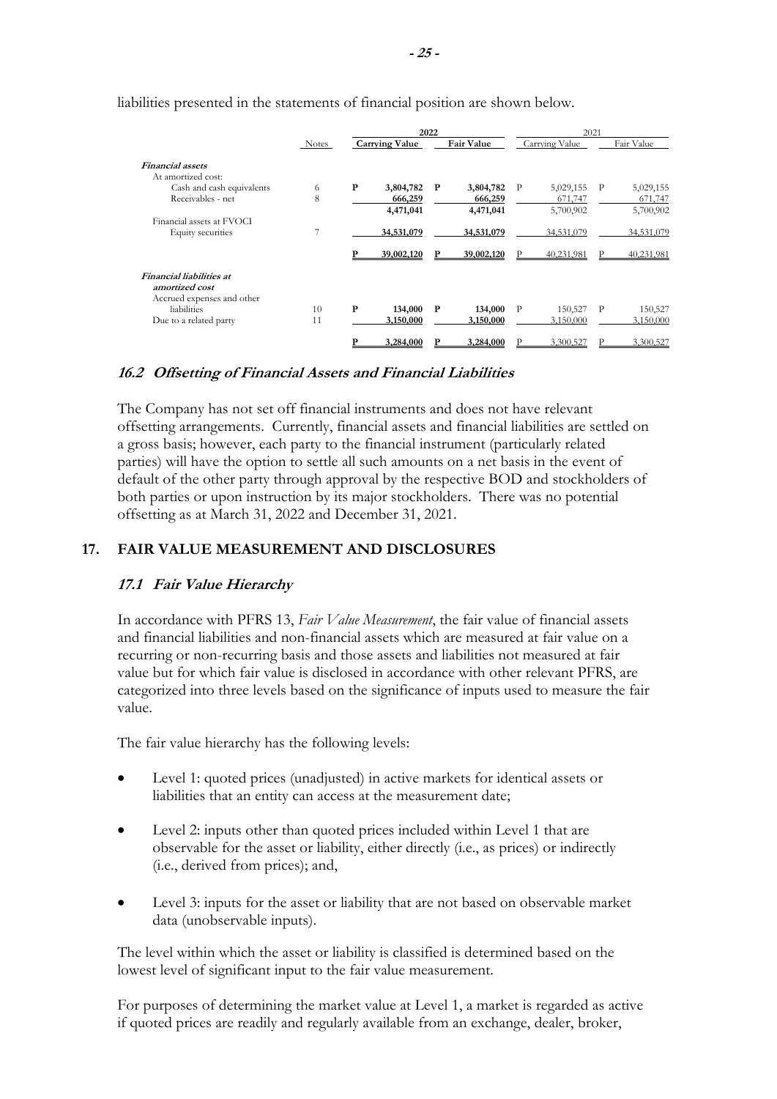| Notes |   | <b>Carrying Value</b> |           | Fair Value |           |                |           |            |
|-------|---|-----------------------|-----------|------------|-----------|----------------|-----------|------------|
|       |   |                       |           |            |           | Carrying Value |           | Fair Value |
|       |   |                       |           |            |           |                |           |            |
|       |   |                       |           |            |           |                |           |            |
| 6     | P | 3,804,782             | P         | 3,804,782  | P         | 5,029,155      | P         | 5,029,155  |
| 8     |   | 666,259               |           | 666,259    |           | 671,747        |           | 671,747    |
|       |   | 4,471,041             |           | 4,471,041  |           | 5,700,902      |           | 5,700,902  |
|       |   |                       |           |            |           |                |           |            |
|       |   | 34,531,079            |           | 34,531,079 |           | 34,531,079     |           | 34,531,079 |
|       |   | 39,002,120            |           | 39,002,120 |           | 40.231.981     |           | 40.231.981 |
|       |   |                       |           |            |           |                |           |            |
|       |   |                       |           |            |           |                |           |            |
|       |   |                       |           |            |           |                |           |            |
| 10    | P | 134,000               | P         | 134,000    | P         | 150,527        | P         | 150,527    |
| 11    |   | 3,150,000             |           | 3,150,000  |           | 3,150,000      |           | 3,150,000  |
|       |   |                       |           |            |           |                |           | 3.300.527  |
|       |   |                       | 3.284.000 |            | 3.284.000 |                | 3.300.527 |            |

liabilities presented in the statements of financial position are shown below.

#### **16.2 Offsetting of Financial Assets and Financial Liabilities**

The Company has not set off financial instruments and does not have relevant offsetting arrangements. Currently, financial assets and financial liabilities are settled on a gross basis; however, each party to the financial instrument (particularly related parties) will have the option to settle all such amounts on a net basis in the event of default of the other party through approval by the respective BOD and stockholders of both parties or upon instruction by its major stockholders. There was no potential offsetting as at March 31, 2022 and December 31, 2021.

#### **17. FAIR VALUE MEASUREMENT AND DISCLOSURES**

#### **17.1 Fair Value Hierarchy**

In accordance with PFRS 13, *Fair Value Measurement*, the fair value of financial assets and financial liabilities and non-financial assets which are measured at fair value on a recurring or non-recurring basis and those assets and liabilities not measured at fair value but for which fair value is disclosed in accordance with other relevant PFRS, are categorized into three levels based on the significance of inputs used to measure the fair value.

The fair value hierarchy has the following levels:

- Level 1: quoted prices (unadjusted) in active markets for identical assets or liabilities that an entity can access at the measurement date;
- Level 2: inputs other than quoted prices included within Level 1 that are observable for the asset or liability, either directly (i.e., as prices) or indirectly (i.e., derived from prices); and,
- Level 3: inputs for the asset or liability that are not based on observable market data (unobservable inputs).

The level within which the asset or liability is classified is determined based on the lowest level of significant input to the fair value measurement.

For purposes of determining the market value at Level 1, a market is regarded as active if quoted prices are readily and regularly available from an exchange, dealer, broker,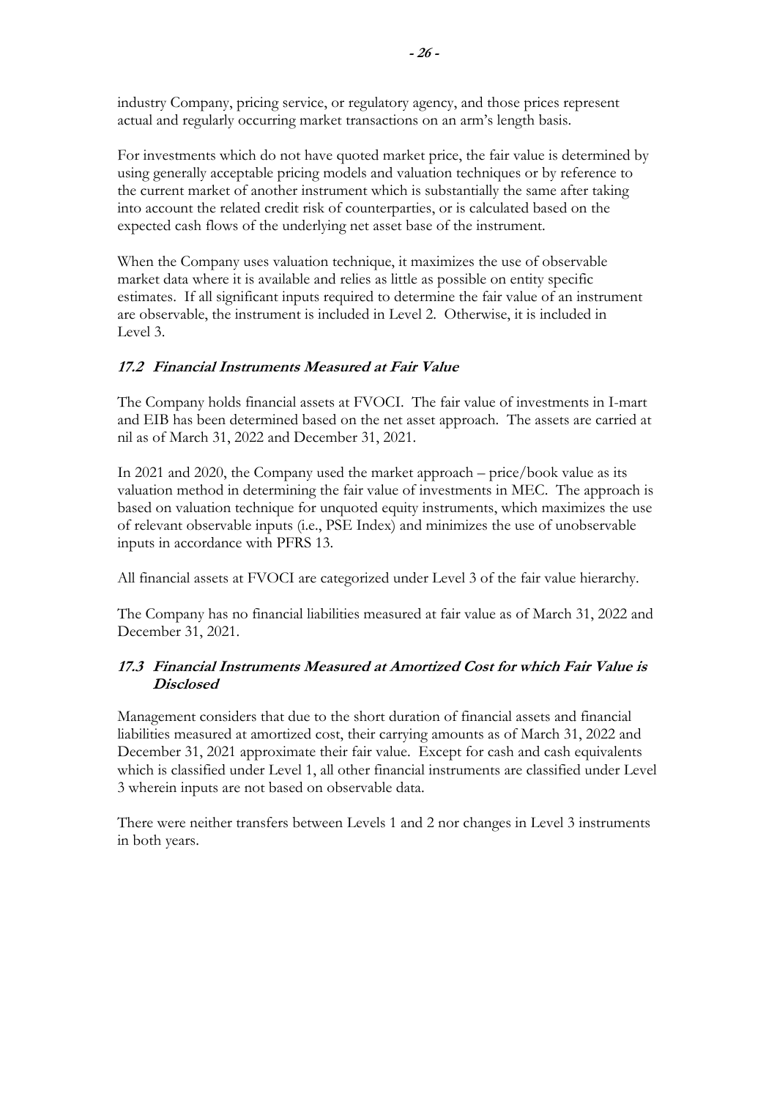industry Company, pricing service, or regulatory agency, and those prices represent actual and regularly occurring market transactions on an arm's length basis.

For investments which do not have quoted market price, the fair value is determined by using generally acceptable pricing models and valuation techniques or by reference to the current market of another instrument which is substantially the same after taking into account the related credit risk of counterparties, or is calculated based on the expected cash flows of the underlying net asset base of the instrument.

When the Company uses valuation technique, it maximizes the use of observable market data where it is available and relies as little as possible on entity specific estimates. If all significant inputs required to determine the fair value of an instrument are observable, the instrument is included in Level 2. Otherwise, it is included in Level 3.

## **17.2 Financial Instruments Measured at Fair Value**

The Company holds financial assets at FVOCI. The fair value of investments in I-mart and EIB has been determined based on the net asset approach. The assets are carried at nil as of March 31, 2022 and December 31, 2021.

In 2021 and 2020, the Company used the market approach – price/book value as its valuation method in determining the fair value of investments in MEC. The approach is based on valuation technique for unquoted equity instruments, which maximizes the use of relevant observable inputs (i.e., PSE Index) and minimizes the use of unobservable inputs in accordance with PFRS 13.

All financial assets at FVOCI are categorized under Level 3 of the fair value hierarchy.

The Company has no financial liabilities measured at fair value as of March 31, 2022 and December 31, 2021.

## **17.3 Financial Instruments Measured at Amortized Cost for which Fair Value is Disclosed**

Management considers that due to the short duration of financial assets and financial liabilities measured at amortized cost, their carrying amounts as of March 31, 2022 and December 31, 2021 approximate their fair value. Except for cash and cash equivalents which is classified under Level 1, all other financial instruments are classified under Level 3 wherein inputs are not based on observable data.

There were neither transfers between Levels 1 and 2 nor changes in Level 3 instruments in both years.